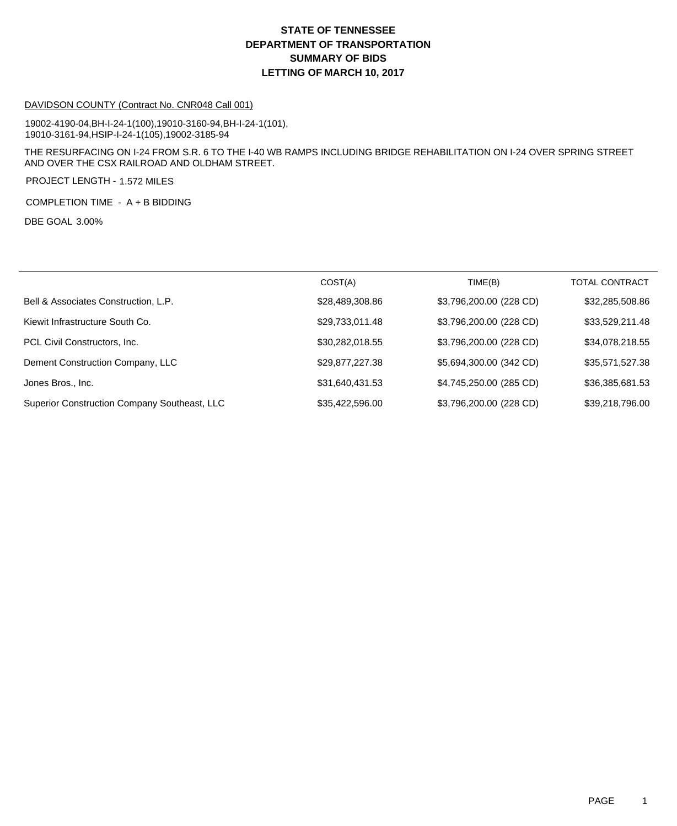## **DEPARTMENT OF TRANSPORTATION SUMMARY OF BIDS LETTING OF MARCH 10, 2017 STATE OF TENNESSEE**

#### DAVIDSON COUNTY (Contract No. CNR048 Call 001)

19002-4190-04,BH-I-24-1(100),19010-3160-94,BH-I-24-1(101), 19010-3161-94,HSIP-I-24-1(105),19002-3185-94

THE RESURFACING ON I-24 FROM S.R. 6 TO THE I-40 WB RAMPS INCLUDING BRIDGE REHABILITATION ON I-24 OVER SPRING STREET AND OVER THE CSX RAILROAD AND OLDHAM STREET.

PROJECT LENGTH - 1.572 MILES

COMPLETION TIME - A + B BIDDING

DBE GOAL 3.00%

|                                              | COST(A)         | TIME(B)                 | <b>TOTAL CONTRACT</b> |
|----------------------------------------------|-----------------|-------------------------|-----------------------|
| Bell & Associates Construction, L.P.         | \$28,489,308.86 | \$3,796,200.00 (228 CD) | \$32,285,508.86       |
| Kiewit Infrastructure South Co.              | \$29,733,011.48 | \$3,796,200.00 (228 CD) | \$33,529,211.48       |
| PCL Civil Constructors, Inc.                 | \$30,282,018.55 | \$3,796,200.00 (228 CD) | \$34,078,218.55       |
| Dement Construction Company, LLC             | \$29,877,227.38 | \$5,694,300.00 (342 CD) | \$35,571,527.38       |
| Jones Bros., Inc.                            | \$31,640,431.53 | \$4,745,250.00 (285 CD) | \$36,385,681.53       |
| Superior Construction Company Southeast, LLC | \$35,422,596.00 | \$3,796,200.00 (228 CD) | \$39,218,796.00       |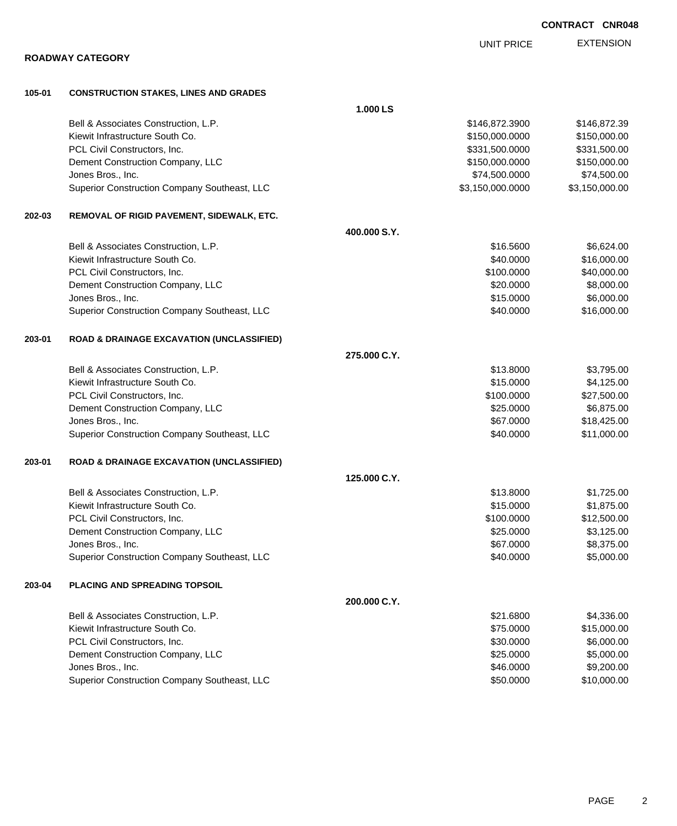|        | <b>ROADWAY CATEGORY</b>                              |              |                  |                |
|--------|------------------------------------------------------|--------------|------------------|----------------|
|        |                                                      |              |                  |                |
| 105-01 | <b>CONSTRUCTION STAKES, LINES AND GRADES</b>         | 1.000 LS     |                  |                |
|        | Bell & Associates Construction, L.P.                 |              | \$146,872.3900   | \$146,872.39   |
|        | Kiewit Infrastructure South Co.                      |              | \$150,000.0000   | \$150,000.00   |
|        | PCL Civil Constructors, Inc.                         |              | \$331,500.0000   | \$331,500.00   |
|        | Dement Construction Company, LLC                     |              | \$150,000.0000   | \$150,000.00   |
|        | Jones Bros., Inc.                                    |              | \$74,500.0000    | \$74,500.00    |
|        | Superior Construction Company Southeast, LLC         |              | \$3,150,000.0000 | \$3,150,000.00 |
| 202-03 | REMOVAL OF RIGID PAVEMENT, SIDEWALK, ETC.            |              |                  |                |
|        |                                                      | 400.000 S.Y. |                  |                |
|        | Bell & Associates Construction, L.P.                 |              | \$16.5600        | \$6,624.00     |
|        | Kiewit Infrastructure South Co.                      |              | \$40.0000        | \$16,000.00    |
|        | PCL Civil Constructors, Inc.                         |              | \$100.0000       | \$40,000.00    |
|        | Dement Construction Company, LLC                     |              | \$20.0000        | \$8,000.00     |
|        | Jones Bros., Inc.                                    |              | \$15.0000        | \$6,000.00     |
|        | Superior Construction Company Southeast, LLC         |              | \$40.0000        | \$16,000.00    |
| 203-01 | <b>ROAD &amp; DRAINAGE EXCAVATION (UNCLASSIFIED)</b> |              |                  |                |
|        |                                                      | 275,000 C.Y. |                  |                |
|        | Bell & Associates Construction, L.P.                 |              | \$13.8000        | \$3,795.00     |
|        | Kiewit Infrastructure South Co.                      |              | \$15.0000        | \$4,125.00     |
|        | PCL Civil Constructors, Inc.                         |              | \$100.0000       | \$27,500.00    |
|        | Dement Construction Company, LLC                     |              | \$25.0000        | \$6,875.00     |
|        | Jones Bros., Inc.                                    |              | \$67.0000        | \$18,425.00    |
|        | Superior Construction Company Southeast, LLC         |              | \$40.0000        | \$11,000.00    |
| 203-01 | <b>ROAD &amp; DRAINAGE EXCAVATION (UNCLASSIFIED)</b> |              |                  |                |
|        |                                                      | 125.000 C.Y. |                  |                |
|        | Bell & Associates Construction, L.P.                 |              | \$13.8000        | \$1,725.00     |
|        | Kiewit Infrastructure South Co.                      |              | \$15.0000        | \$1,875.00     |
|        | PCL Civil Constructors, Inc.                         |              | \$100.0000       | \$12,500.00    |
|        | Dement Construction Company, LLC                     |              | \$25.0000        | \$3,125.00     |
|        | Jones Bros., Inc.                                    |              | \$67.0000        | \$8,375.00     |
|        | Superior Construction Company Southeast, LLC         |              | \$40.0000        | \$5,000.00     |
| 203-04 | <b>PLACING AND SPREADING TOPSOIL</b>                 |              |                  |                |
|        |                                                      | 200.000 C.Y. |                  |                |
|        | Bell & Associates Construction, L.P.                 |              | \$21.6800        | \$4,336.00     |
|        | Kiewit Infrastructure South Co.                      |              | \$75.0000        | \$15,000.00    |
|        | PCL Civil Constructors, Inc.                         |              | \$30.0000        | \$6,000.00     |
|        | Dement Construction Company, LLC                     |              | \$25.0000        | \$5,000.00     |
|        | Jones Bros., Inc.                                    |              | \$46.0000        | \$9,200.00     |
|        | Superior Construction Company Southeast, LLC         |              | \$50.0000        | \$10,000.00    |

EXTENSION UNIT PRICE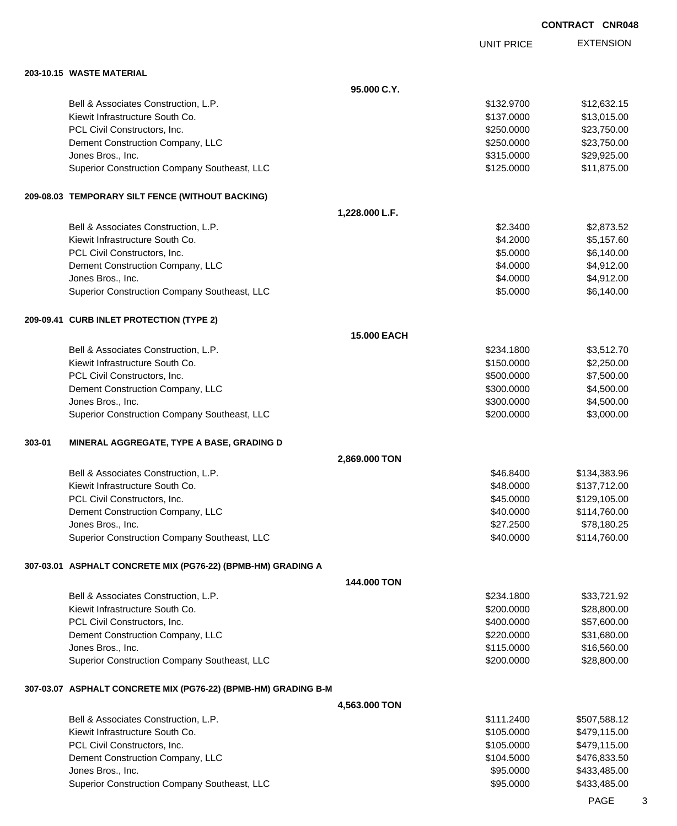|                                                                | <b>UNIT PRICE</b> | <b>EXTENSION</b> |
|----------------------------------------------------------------|-------------------|------------------|
| 203-10.15 WASTE MATERIAL                                       |                   |                  |
| 95,000 C.Y.                                                    |                   |                  |
| Bell & Associates Construction, L.P.                           | \$132.9700        | \$12,632.15      |
| Kiewit Infrastructure South Co.                                | \$137.0000        | \$13,015.00      |
| PCL Civil Constructors, Inc.                                   | \$250.0000        | \$23,750.00      |
| Dement Construction Company, LLC                               | \$250.0000        | \$23,750.00      |
| Jones Bros., Inc.                                              | \$315.0000        | \$29,925.00      |
| Superior Construction Company Southeast, LLC                   | \$125.0000        | \$11,875.00      |
| 209-08.03 TEMPORARY SILT FENCE (WITHOUT BACKING)               |                   |                  |
| 1,228.000 L.F.                                                 |                   |                  |
| Bell & Associates Construction, L.P.                           | \$2.3400          | \$2,873.52       |
| Kiewit Infrastructure South Co.                                | \$4.2000          | \$5,157.60       |
| PCL Civil Constructors, Inc.                                   | \$5.0000          | \$6,140.00       |
| Dement Construction Company, LLC                               | \$4.0000          | \$4,912.00       |
| Jones Bros., Inc.                                              | \$4.0000          | \$4,912.00       |
| Superior Construction Company Southeast, LLC                   | \$5.0000          | \$6,140.00       |
| 209-09.41 CURB INLET PROTECTION (TYPE 2)                       |                   |                  |
| <b>15.000 EACH</b>                                             |                   |                  |
| Bell & Associates Construction, L.P.                           | \$234.1800        | \$3,512.70       |
| Kiewit Infrastructure South Co.                                | \$150.0000        | \$2,250.00       |
| PCL Civil Constructors, Inc.                                   | \$500.0000        | \$7,500.00       |
| Dement Construction Company, LLC                               | \$300.0000        | \$4,500.00       |
| Jones Bros., Inc.                                              | \$300.0000        | \$4,500.00       |
| Superior Construction Company Southeast, LLC                   | \$200.0000        | \$3,000.00       |
| 303-01<br>MINERAL AGGREGATE, TYPE A BASE, GRADING D            |                   |                  |
| 2,869.000 TON                                                  |                   |                  |
| Bell & Associates Construction, L.P.                           | \$46.8400         | \$134,383.96     |
| Kiewit Infrastructure South Co.                                | \$48.0000         | \$137,712.00     |
| PCL Civil Constructors, Inc.                                   | \$45.0000         | \$129,105.00     |
| Dement Construction Company, LLC                               | \$40.0000         | \$114,760.00     |
| Jones Bros., Inc.                                              | \$27.2500         | \$78,180.25      |
| Superior Construction Company Southeast, LLC                   | \$40.0000         | \$114,760.00     |
| 307-03.01 ASPHALT CONCRETE MIX (PG76-22) (BPMB-HM) GRADING A   |                   |                  |
| 144.000 TON                                                    |                   |                  |
| Bell & Associates Construction, L.P.                           | \$234.1800        | \$33,721.92      |
| Kiewit Infrastructure South Co.                                | \$200.0000        | \$28,800.00      |
| PCL Civil Constructors, Inc.                                   | \$400.0000        | \$57,600.00      |
| Dement Construction Company, LLC                               | \$220.0000        | \$31,680.00      |
| Jones Bros., Inc.                                              | \$115.0000        | \$16,560.00      |
| Superior Construction Company Southeast, LLC                   | \$200.0000        | \$28,800.00      |
| 307-03.07 ASPHALT CONCRETE MIX (PG76-22) (BPMB-HM) GRADING B-M |                   |                  |
| 4,563.000 TON                                                  |                   |                  |
| Bell & Associates Construction, L.P.                           | \$111.2400        | \$507,588.12     |
| Kiewit Infrastructure South Co.                                | \$105.0000        | \$479,115.00     |
| PCL Civil Constructors, Inc.                                   | \$105.0000        | \$479,115.00     |
| Dement Construction Company, LLC                               | \$104.5000        | \$476,833.50     |
| Jones Bros., Inc.                                              | \$95.0000         | \$433,485.00     |
| Superior Construction Company Southeast, LLC                   | \$95.0000         | \$433,485.00     |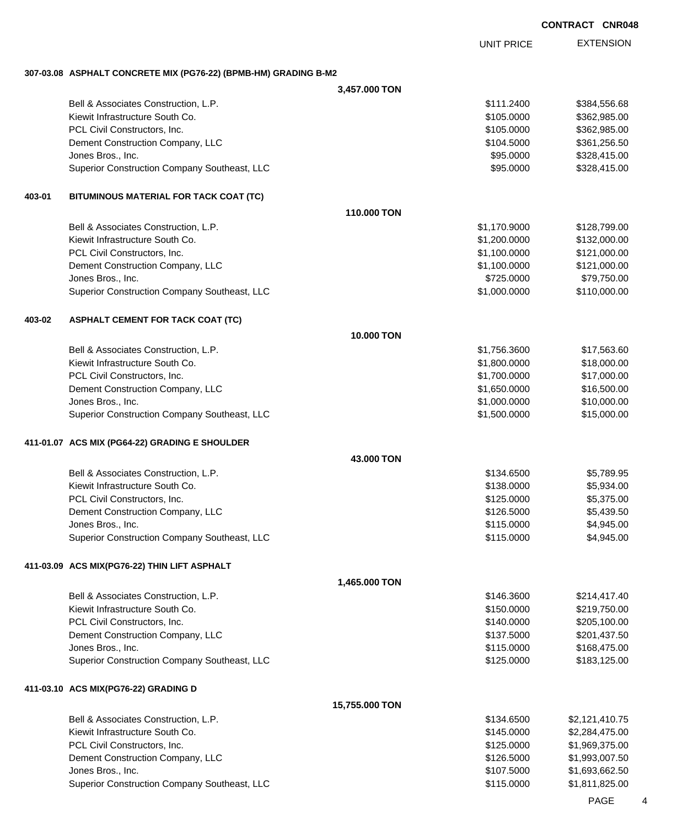EXTENSION UNIT PRICE

#### **307-03.08 ASPHALT CONCRETE MIX (PG76-22) (BPMB-HM) GRADING B-M2**

|        |                                                       | 3,457.000 TON     |                              |                            |
|--------|-------------------------------------------------------|-------------------|------------------------------|----------------------------|
|        | Bell & Associates Construction, L.P.                  |                   | \$111.2400                   | \$384,556.68               |
|        | Kiewit Infrastructure South Co.                       |                   | \$105.0000                   | \$362,985.00               |
|        | PCL Civil Constructors, Inc.                          |                   | \$105.0000                   | \$362,985.00               |
|        | Dement Construction Company, LLC                      |                   | \$104.5000                   | \$361,256.50               |
|        | Jones Bros., Inc.                                     |                   | \$95.0000                    | \$328,415.00               |
|        | Superior Construction Company Southeast, LLC          |                   | \$95.0000                    | \$328,415.00               |
| 403-01 | BITUMINOUS MATERIAL FOR TACK COAT (TC)                |                   |                              |                            |
|        |                                                       | 110.000 TON       |                              |                            |
|        | Bell & Associates Construction, L.P.                  |                   | \$1,170.9000                 | \$128,799.00               |
|        | Kiewit Infrastructure South Co.                       |                   | \$1,200.0000                 | \$132,000.00               |
|        | PCL Civil Constructors, Inc.                          |                   | \$1,100.0000                 | \$121,000.00               |
|        | Dement Construction Company, LLC                      |                   | \$1,100.0000                 | \$121,000.00               |
|        | Jones Bros., Inc.                                     |                   | \$725.0000                   | \$79,750.00                |
|        | Superior Construction Company Southeast, LLC          |                   | \$1,000.0000                 | \$110,000.00               |
| 403-02 | <b>ASPHALT CEMENT FOR TACK COAT (TC)</b>              |                   |                              |                            |
|        |                                                       | <b>10.000 TON</b> |                              |                            |
|        | Bell & Associates Construction, L.P.                  |                   | \$1,756.3600                 | \$17,563.60                |
|        | Kiewit Infrastructure South Co.                       |                   | \$1,800.0000                 | \$18,000.00                |
|        | PCL Civil Constructors, Inc.                          |                   | \$1,700.0000                 | \$17,000.00                |
|        | Dement Construction Company, LLC<br>Jones Bros., Inc. |                   | \$1,650.0000<br>\$1,000.0000 | \$16,500.00<br>\$10,000.00 |
|        | Superior Construction Company Southeast, LLC          |                   | \$1,500.0000                 | \$15,000.00                |
|        |                                                       |                   |                              |                            |
|        | 411-01.07 ACS MIX (PG64-22) GRADING E SHOULDER        |                   |                              |                            |
|        | Bell & Associates Construction, L.P.                  | 43,000 TON        | \$134.6500                   | \$5,789.95                 |
|        | Kiewit Infrastructure South Co.                       |                   | \$138.0000                   | \$5,934.00                 |
|        | PCL Civil Constructors, Inc.                          |                   | \$125.0000                   | \$5,375.00                 |
|        | Dement Construction Company, LLC                      |                   | \$126.5000                   | \$5,439.50                 |
|        | Jones Bros., Inc.                                     |                   | \$115.0000                   | \$4,945.00                 |
|        | Superior Construction Company Southeast, LLC          |                   | \$115.0000                   | \$4,945.00                 |
|        | 411-03.09 ACS MIX(PG76-22) THIN LIFT ASPHALT          |                   |                              |                            |
|        |                                                       | 1,465.000 TON     |                              |                            |
|        | Bell & Associates Construction, L.P.                  |                   | \$146.3600                   | \$214,417.40               |
|        | Kiewit Infrastructure South Co.                       |                   | \$150.0000                   | \$219,750.00               |
|        | PCL Civil Constructors, Inc.                          |                   | \$140.0000                   | \$205,100.00               |
|        | Dement Construction Company, LLC                      |                   | \$137.5000                   | \$201,437.50               |
|        | Jones Bros., Inc.                                     |                   | \$115.0000                   | \$168,475.00               |
|        | Superior Construction Company Southeast, LLC          |                   | \$125.0000                   | \$183,125.00               |
|        | 411-03.10 ACS MIX(PG76-22) GRADING D                  |                   |                              |                            |
|        |                                                       | 15,755.000 TON    |                              |                            |
|        | Bell & Associates Construction, L.P.                  |                   | \$134.6500                   | \$2,121,410.75             |
|        | Kiewit Infrastructure South Co.                       |                   | \$145.0000                   | \$2,284,475.00             |
|        | PCL Civil Constructors, Inc.                          |                   | \$125.0000                   | \$1,969,375.00             |
|        | Dement Construction Company, LLC                      |                   | \$126.5000                   | \$1,993,007.50             |
|        | Jones Bros., Inc.                                     |                   | \$107.5000                   | \$1,693,662.50             |
|        | Superior Construction Company Southeast, LLC          |                   | \$115.0000                   | \$1,811,825.00             |

PAGE 4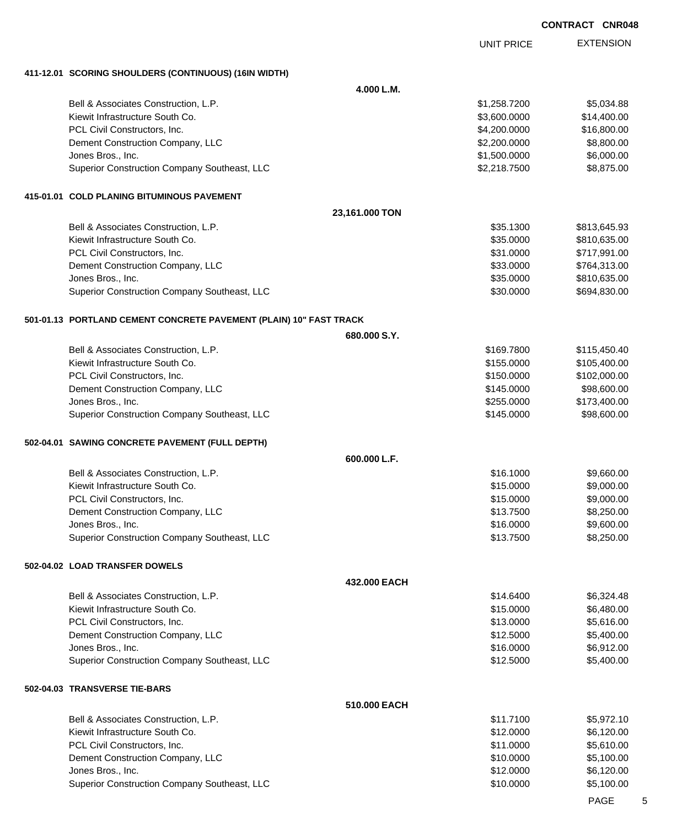| <b>CONTRACT CNR048</b> |  |
|------------------------|--|
|------------------------|--|

|                                                                    |                | <b>UNIT PRICE</b> | <b>EXTENSION</b> |
|--------------------------------------------------------------------|----------------|-------------------|------------------|
| 411-12.01 SCORING SHOULDERS (CONTINUOUS) (16IN WIDTH)              |                |                   |                  |
|                                                                    | 4.000 L.M.     |                   |                  |
| Bell & Associates Construction, L.P.                               |                | \$1,258.7200      | \$5,034.88       |
| Kiewit Infrastructure South Co.                                    |                | \$3,600.0000      | \$14,400.00      |
| PCL Civil Constructors, Inc.                                       |                | \$4,200.0000      | \$16,800.00      |
| Dement Construction Company, LLC                                   |                | \$2,200.0000      | \$8,800.00       |
| Jones Bros., Inc.                                                  |                | \$1,500.0000      | \$6,000.00       |
| Superior Construction Company Southeast, LLC                       |                | \$2,218.7500      | \$8,875.00       |
| 415-01.01 COLD PLANING BITUMINOUS PAVEMENT                         |                |                   |                  |
|                                                                    | 23,161.000 TON |                   |                  |
| Bell & Associates Construction, L.P.                               |                | \$35.1300         | \$813,645.93     |
| Kiewit Infrastructure South Co.                                    |                | \$35.0000         | \$810,635.00     |
| PCL Civil Constructors, Inc.                                       |                | \$31.0000         | \$717,991.00     |
| Dement Construction Company, LLC                                   |                | \$33.0000         | \$764,313.00     |
| Jones Bros., Inc.                                                  |                | \$35.0000         | \$810,635.00     |
| Superior Construction Company Southeast, LLC                       |                | \$30.0000         | \$694,830.00     |
| 501-01.13 PORTLAND CEMENT CONCRETE PAVEMENT (PLAIN) 10" FAST TRACK |                |                   |                  |
|                                                                    | 680.000 S.Y.   |                   |                  |
| Bell & Associates Construction, L.P.                               |                | \$169.7800        | \$115,450.40     |
| Kiewit Infrastructure South Co.                                    |                | \$155.0000        | \$105,400.00     |
| PCL Civil Constructors, Inc.                                       |                | \$150.0000        | \$102,000.00     |
| Dement Construction Company, LLC                                   |                | \$145.0000        | \$98,600.00      |
| Jones Bros., Inc.                                                  |                | \$255.0000        | \$173,400.00     |
| Superior Construction Company Southeast, LLC                       |                | \$145.0000        | \$98,600.00      |
| 502-04.01 SAWING CONCRETE PAVEMENT (FULL DEPTH)                    |                |                   |                  |
|                                                                    | 600.000 L.F.   |                   |                  |
| Bell & Associates Construction, L.P.                               |                | \$16.1000         | \$9,660.00       |
| Kiewit Infrastructure South Co.                                    |                | \$15.0000         | \$9,000.00       |
| PCL Civil Constructors, Inc.                                       |                | \$15.0000         | \$9,000.00       |
| Dement Construction Company, LLC                                   |                | \$13.7500         | \$8,250.00       |
| Jones Bros., Inc.                                                  |                | \$16.0000         | \$9,600.00       |
| Superior Construction Company Southeast, LLC                       |                | \$13.7500         | \$8,250.00       |
| 502-04.02 LOAD TRANSFER DOWELS                                     |                |                   |                  |
|                                                                    | 432.000 EACH   |                   |                  |
| Bell & Associates Construction, L.P.                               |                | \$14.6400         | \$6,324.48       |
| Kiewit Infrastructure South Co.                                    |                | \$15.0000         | \$6,480.00       |
| PCL Civil Constructors, Inc.                                       |                | \$13.0000         | \$5,616.00       |
| Dement Construction Company, LLC                                   |                | \$12.5000         | \$5,400.00       |
| Jones Bros., Inc.                                                  |                | \$16.0000         | \$6,912.00       |
| Superior Construction Company Southeast, LLC                       |                | \$12.5000         | \$5,400.00       |
| 502-04.03 TRANSVERSE TIE-BARS                                      |                |                   |                  |
|                                                                    | 510.000 EACH   |                   |                  |
| Bell & Associates Construction, L.P.                               |                | \$11.7100         | \$5,972.10       |
| Kiewit Infrastructure South Co.                                    |                | \$12.0000         | \$6,120.00       |
| PCL Civil Constructors, Inc.                                       |                | \$11.0000         | \$5,610.00       |
| Dement Construction Company, LLC                                   |                | \$10.0000         | \$5,100.00       |
| Jones Bros., Inc.                                                  |                | \$12.0000         | \$6,120.00       |
| Superior Construction Company Southeast, LLC                       |                | \$10.0000         | \$5,100.00       |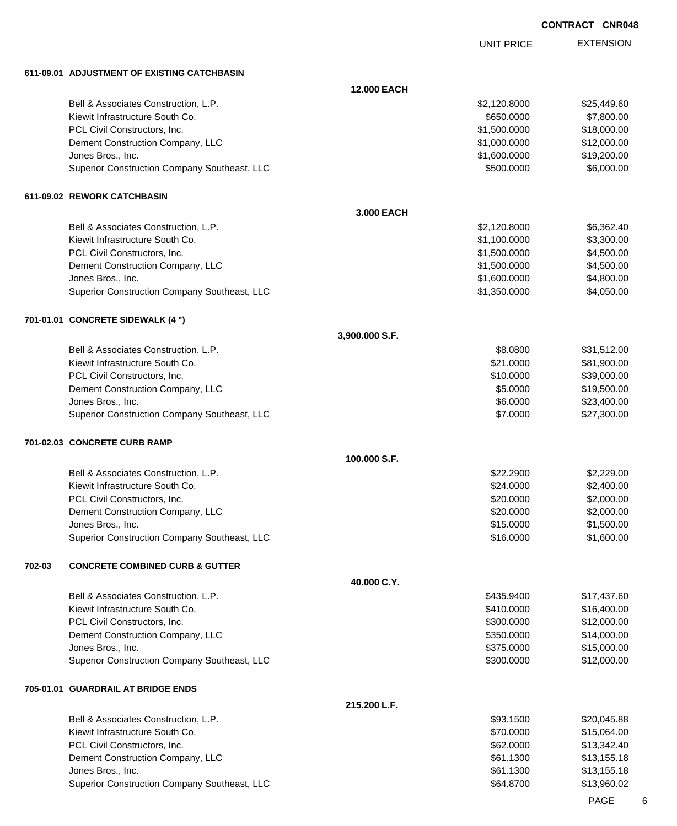UNIT PRICE EXTENSION

**611-09.01 ADJUSTMENT OF EXISTING CATCHBASIN**

|        | 611-09.01 ADJUSIMENI OF EXISIING CAICHBASIN  |                    |              |             |
|--------|----------------------------------------------|--------------------|--------------|-------------|
|        |                                              | <b>12.000 EACH</b> |              |             |
|        | Bell & Associates Construction, L.P.         |                    | \$2,120.8000 | \$25,449.60 |
|        | Kiewit Infrastructure South Co.              |                    | \$650.0000   | \$7,800.00  |
|        | PCL Civil Constructors, Inc.                 |                    | \$1,500.0000 | \$18,000.00 |
|        | Dement Construction Company, LLC             |                    | \$1,000.0000 | \$12,000.00 |
|        | Jones Bros., Inc.                            |                    | \$1,600.0000 | \$19,200.00 |
|        | Superior Construction Company Southeast, LLC |                    | \$500.0000   | \$6,000.00  |
|        | 611-09.02 REWORK CATCHBASIN                  |                    |              |             |
|        |                                              | 3.000 EACH         |              |             |
|        | Bell & Associates Construction, L.P.         |                    | \$2,120.8000 | \$6,362.40  |
|        | Kiewit Infrastructure South Co.              |                    | \$1,100.0000 | \$3,300.00  |
|        | PCL Civil Constructors, Inc.                 |                    | \$1,500.0000 | \$4,500.00  |
|        | Dement Construction Company, LLC             |                    | \$1,500.0000 | \$4,500.00  |
|        | Jones Bros., Inc.                            |                    | \$1,600.0000 | \$4,800.00  |
|        | Superior Construction Company Southeast, LLC |                    | \$1,350.0000 | \$4,050.00  |
|        | 701-01.01 CONCRETE SIDEWALK (4 ")            |                    |              |             |
|        |                                              | 3,900.000 S.F.     |              |             |
|        | Bell & Associates Construction, L.P.         |                    | \$8.0800     | \$31,512.00 |
|        | Kiewit Infrastructure South Co.              |                    | \$21.0000    | \$81,900.00 |
|        | PCL Civil Constructors, Inc.                 |                    | \$10.0000    | \$39,000.00 |
|        | Dement Construction Company, LLC             |                    | \$5.0000     | \$19,500.00 |
|        | Jones Bros., Inc.                            |                    | \$6.0000     | \$23,400.00 |
|        | Superior Construction Company Southeast, LLC |                    | \$7.0000     | \$27,300.00 |
|        | 701-02.03 CONCRETE CURB RAMP                 |                    |              |             |
|        |                                              | 100.000 S.F.       |              |             |
|        | Bell & Associates Construction, L.P.         |                    | \$22.2900    | \$2,229.00  |
|        | Kiewit Infrastructure South Co.              |                    | \$24.0000    | \$2,400.00  |
|        | PCL Civil Constructors, Inc.                 |                    | \$20.0000    | \$2,000.00  |
|        | Dement Construction Company, LLC             |                    | \$20.0000    | \$2,000.00  |
|        | Jones Bros., Inc.                            |                    | \$15.0000    | \$1,500.00  |
|        | Superior Construction Company Southeast, LLC |                    | \$16,0000    | \$1,600.00  |
| 702-03 | <b>CONCRETE COMBINED CURB &amp; GUTTER</b>   |                    |              |             |
|        |                                              | 40.000 C.Y.        |              |             |
|        | Bell & Associates Construction, L.P.         |                    | \$435.9400   | \$17,437.60 |
|        | Kiewit Infrastructure South Co.              |                    | \$410.0000   | \$16,400.00 |
|        | PCL Civil Constructors, Inc.                 |                    | \$300.0000   | \$12,000.00 |
|        | Dement Construction Company, LLC             |                    | \$350.0000   | \$14,000.00 |
|        | Jones Bros., Inc.                            |                    | \$375.0000   | \$15,000.00 |
|        | Superior Construction Company Southeast, LLC |                    | \$300.0000   | \$12,000.00 |
|        | 705-01.01 GUARDRAIL AT BRIDGE ENDS           |                    |              |             |
|        |                                              | 215.200 L.F.       |              |             |
|        | Bell & Associates Construction, L.P.         |                    | \$93.1500    | \$20,045.88 |
|        | Kiewit Infrastructure South Co.              |                    | \$70.0000    | \$15,064.00 |
|        | PCL Civil Constructors, Inc.                 |                    | \$62.0000    | \$13,342.40 |
|        | Dement Construction Company, LLC             |                    | \$61.1300    | \$13,155.18 |
|        | Jones Bros., Inc.                            |                    | \$61.1300    | \$13,155.18 |
|        | Superior Construction Company Southeast, LLC |                    | \$64.8700    | \$13,960.02 |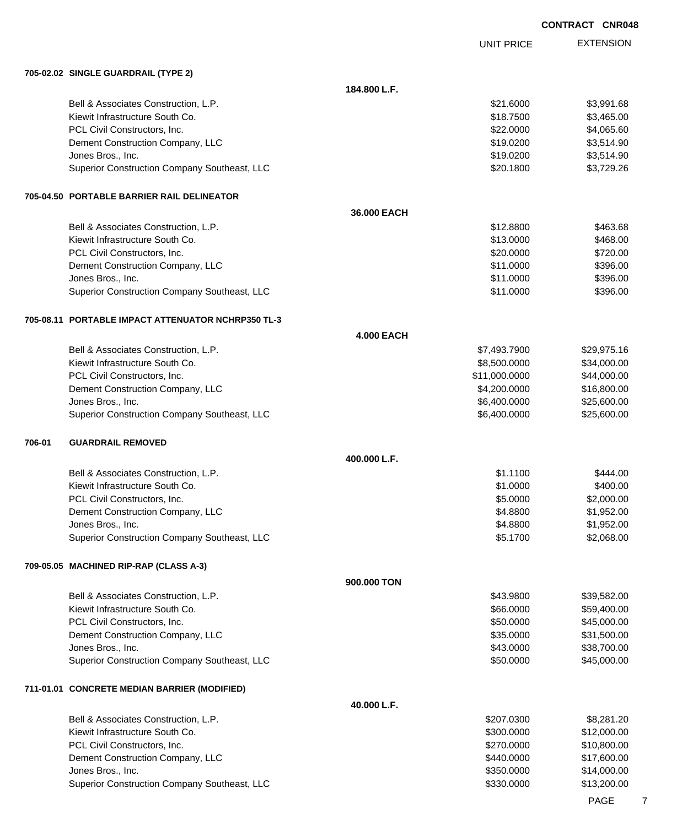EXTENSION **CONTRACT CNR048** UNIT PRICE

#### **705-02.02 SINGLE GUARDRAIL (TYPE 2)**

|        | 705-02.02 SINGLE GUARDRAIL (TYPE 2)                |                   |               |             |
|--------|----------------------------------------------------|-------------------|---------------|-------------|
|        |                                                    | 184.800 L.F.      |               |             |
|        | Bell & Associates Construction, L.P.               |                   | \$21.6000     | \$3,991.68  |
|        | Kiewit Infrastructure South Co.                    |                   | \$18.7500     | \$3,465.00  |
|        | PCL Civil Constructors, Inc.                       |                   | \$22.0000     | \$4,065.60  |
|        | Dement Construction Company, LLC                   |                   | \$19.0200     | \$3,514.90  |
|        | Jones Bros., Inc.                                  |                   | \$19.0200     | \$3,514.90  |
|        | Superior Construction Company Southeast, LLC       |                   | \$20.1800     | \$3,729.26  |
|        | 705-04.50 PORTABLE BARRIER RAIL DELINEATOR         |                   |               |             |
|        |                                                    | 36.000 EACH       |               |             |
|        | Bell & Associates Construction, L.P.               |                   | \$12.8800     | \$463.68    |
|        | Kiewit Infrastructure South Co.                    |                   | \$13.0000     | \$468.00    |
|        | PCL Civil Constructors, Inc.                       |                   | \$20.0000     | \$720.00    |
|        | Dement Construction Company, LLC                   |                   | \$11.0000     | \$396.00    |
|        | Jones Bros., Inc.                                  |                   | \$11.0000     | \$396.00    |
|        | Superior Construction Company Southeast, LLC       |                   | \$11.0000     | \$396.00    |
|        |                                                    |                   |               |             |
|        | 705-08.11 PORTABLE IMPACT ATTENUATOR NCHRP350 TL-3 | <b>4.000 EACH</b> |               |             |
|        | Bell & Associates Construction, L.P.               |                   | \$7,493.7900  | \$29,975.16 |
|        | Kiewit Infrastructure South Co.                    |                   | \$8,500.0000  | \$34,000.00 |
|        | PCL Civil Constructors, Inc.                       |                   | \$11,000.0000 | \$44,000.00 |
|        | Dement Construction Company, LLC                   |                   | \$4,200.0000  | \$16,800.00 |
|        | Jones Bros., Inc.                                  |                   | \$6,400.0000  | \$25,600.00 |
|        | Superior Construction Company Southeast, LLC       |                   | \$6,400.0000  | \$25,600.00 |
| 706-01 | <b>GUARDRAIL REMOVED</b>                           |                   |               |             |
|        |                                                    | 400.000 L.F.      |               |             |
|        | Bell & Associates Construction, L.P.               |                   | \$1.1100      | \$444.00    |
|        | Kiewit Infrastructure South Co.                    |                   | \$1.0000      | \$400.00    |
|        | PCL Civil Constructors, Inc.                       |                   | \$5.0000      | \$2,000.00  |
|        | Dement Construction Company, LLC                   |                   | \$4.8800      | \$1,952.00  |
|        | Jones Bros., Inc.                                  |                   | \$4.8800      | \$1,952.00  |
|        | Superior Construction Company Southeast, LLC       |                   | \$5.1700      | \$2,068.00  |
|        | 709-05.05 MACHINED RIP-RAP (CLASS A-3)             |                   |               |             |
|        |                                                    | 900.000 TON       |               |             |
|        | Bell & Associates Construction, L.P.               |                   | \$43.9800     | \$39,582.00 |
|        | Kiewit Infrastructure South Co.                    |                   | \$66.0000     | \$59,400.00 |
|        | PCL Civil Constructors, Inc.                       |                   | \$50.0000     | \$45,000.00 |
|        | Dement Construction Company, LLC                   |                   | \$35.0000     | \$31,500.00 |
|        | Jones Bros., Inc.                                  |                   | \$43.0000     | \$38,700.00 |
|        | Superior Construction Company Southeast, LLC       |                   | \$50.0000     | \$45,000.00 |
|        | 711-01.01 CONCRETE MEDIAN BARRIER (MODIFIED)       |                   |               |             |
|        |                                                    | 40.000 L.F.       |               |             |
|        | Bell & Associates Construction, L.P.               |                   | \$207.0300    | \$8,281.20  |
|        | Kiewit Infrastructure South Co.                    |                   | \$300.0000    | \$12,000.00 |
|        | PCL Civil Constructors, Inc.                       |                   | \$270.0000    | \$10,800.00 |
|        | Dement Construction Company, LLC                   |                   | \$440.0000    | \$17,600.00 |
|        | Jones Bros., Inc.                                  |                   | \$350.0000    | \$14,000.00 |
|        | Superior Construction Company Southeast, LLC       |                   | \$330.0000    | \$13,200.00 |
|        |                                                    |                   |               |             |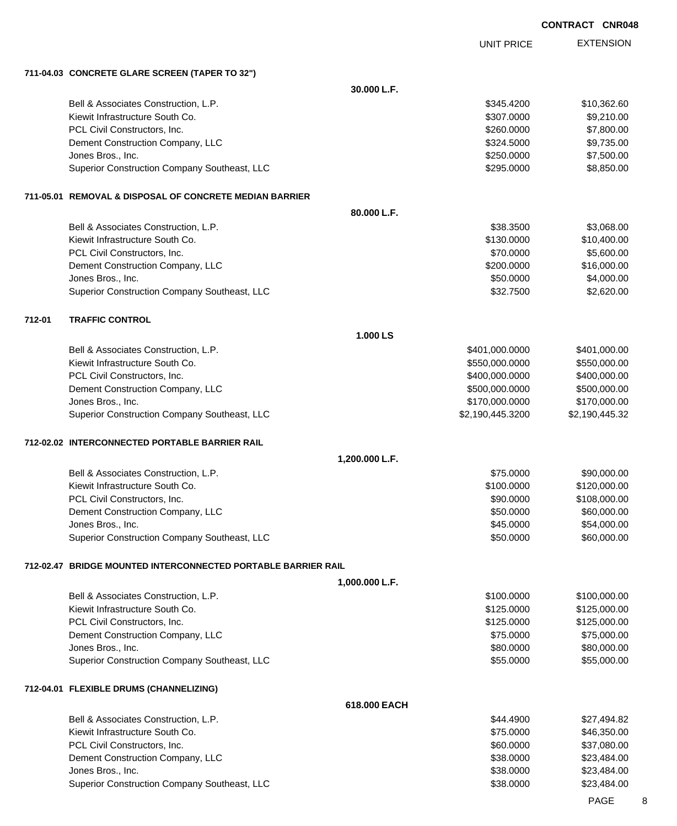|        |                                                               |                | <b>UNIT PRICE</b> | <b>EXTENSION</b> |
|--------|---------------------------------------------------------------|----------------|-------------------|------------------|
|        | 711-04.03 CONCRETE GLARE SCREEN (TAPER TO 32")                |                |                   |                  |
|        |                                                               | 30.000 L.F.    |                   |                  |
|        | Bell & Associates Construction, L.P.                          |                | \$345.4200        | \$10,362.60      |
|        | Kiewit Infrastructure South Co.                               |                | \$307.0000        | \$9,210.00       |
|        | PCL Civil Constructors, Inc.                                  |                | \$260.0000        | \$7,800.00       |
|        | Dement Construction Company, LLC                              |                | \$324.5000        | \$9,735.00       |
|        | Jones Bros., Inc.                                             |                | \$250.0000        | \$7,500.00       |
|        | Superior Construction Company Southeast, LLC                  |                | \$295.0000        | \$8,850.00       |
|        | 711-05.01 REMOVAL & DISPOSAL OF CONCRETE MEDIAN BARRIER       |                |                   |                  |
|        |                                                               | 80.000 L.F.    |                   |                  |
|        | Bell & Associates Construction, L.P.                          |                | \$38.3500         | \$3,068.00       |
|        | Kiewit Infrastructure South Co.                               |                | \$130.0000        | \$10,400.00      |
|        | PCL Civil Constructors, Inc.                                  |                | \$70.0000         | \$5,600.00       |
|        | Dement Construction Company, LLC                              |                | \$200.0000        | \$16,000.00      |
|        | Jones Bros., Inc.                                             |                | \$50.0000         | \$4,000.00       |
|        | Superior Construction Company Southeast, LLC                  |                | \$32.7500         | \$2,620.00       |
| 712-01 | <b>TRAFFIC CONTROL</b>                                        |                |                   |                  |
|        |                                                               | 1.000 LS       |                   |                  |
|        | Bell & Associates Construction, L.P.                          |                | \$401,000.0000    | \$401,000.00     |
|        | Kiewit Infrastructure South Co.                               |                | \$550,000.0000    | \$550,000.00     |
|        | PCL Civil Constructors, Inc.                                  |                | \$400,000.0000    | \$400,000.00     |
|        | Dement Construction Company, LLC                              |                | \$500,000.0000    | \$500,000.00     |
|        | Jones Bros., Inc.                                             |                | \$170,000.0000    | \$170,000.00     |
|        | Superior Construction Company Southeast, LLC                  |                | \$2,190,445.3200  | \$2,190,445.32   |
|        | 712-02.02 INTERCONNECTED PORTABLE BARRIER RAIL                |                |                   |                  |
|        |                                                               | 1,200.000 L.F. |                   |                  |
|        | Bell & Associates Construction, L.P.                          |                | \$75.0000         | \$90,000.00      |
|        | Kiewit Infrastructure South Co.                               |                | \$100.0000        | \$120,000.00     |
|        | PCL Civil Constructors, Inc.                                  |                | \$90.0000         | \$108,000.00     |
|        | Dement Construction Company, LLC                              |                | \$50.0000         | \$60,000.00      |
|        | Jones Bros., Inc.                                             |                | \$45.0000         | \$54,000.00      |
|        | Superior Construction Company Southeast, LLC                  |                | \$50.0000         | \$60,000.00      |
|        | 712-02.47 BRIDGE MOUNTED INTERCONNECTED PORTABLE BARRIER RAIL |                |                   |                  |
|        |                                                               | 1,000.000 L.F. |                   |                  |
|        | Bell & Associates Construction, L.P.                          |                | \$100.0000        | \$100,000.00     |
|        | Kiewit Infrastructure South Co.                               |                | \$125.0000        | \$125,000.00     |
|        | PCL Civil Constructors, Inc.                                  |                | \$125.0000        | \$125,000.00     |
|        | Dement Construction Company, LLC                              |                | \$75.0000         | \$75,000.00      |
|        | Jones Bros., Inc.                                             |                | \$80.0000         | \$80,000.00      |
|        | Superior Construction Company Southeast, LLC                  |                | \$55.0000         | \$55,000.00      |
|        | 712-04.01 FLEXIBLE DRUMS (CHANNELIZING)                       |                |                   |                  |
|        |                                                               | 618.000 EACH   |                   |                  |
|        | Bell & Associates Construction, L.P.                          |                | \$44.4900         | \$27,494.82      |
|        | Kiewit Infrastructure South Co.                               |                | \$75.0000         | \$46,350.00      |
|        | PCL Civil Constructors, Inc.                                  |                | \$60.0000         | \$37,080.00      |
|        | Dement Construction Company, LLC                              |                | \$38.0000         | \$23,484.00      |
|        | Jones Bros., Inc.                                             |                | \$38.0000         | \$23,484.00      |
|        | Superior Construction Company Southeast, LLC                  |                | \$38.0000         | \$23,484.00      |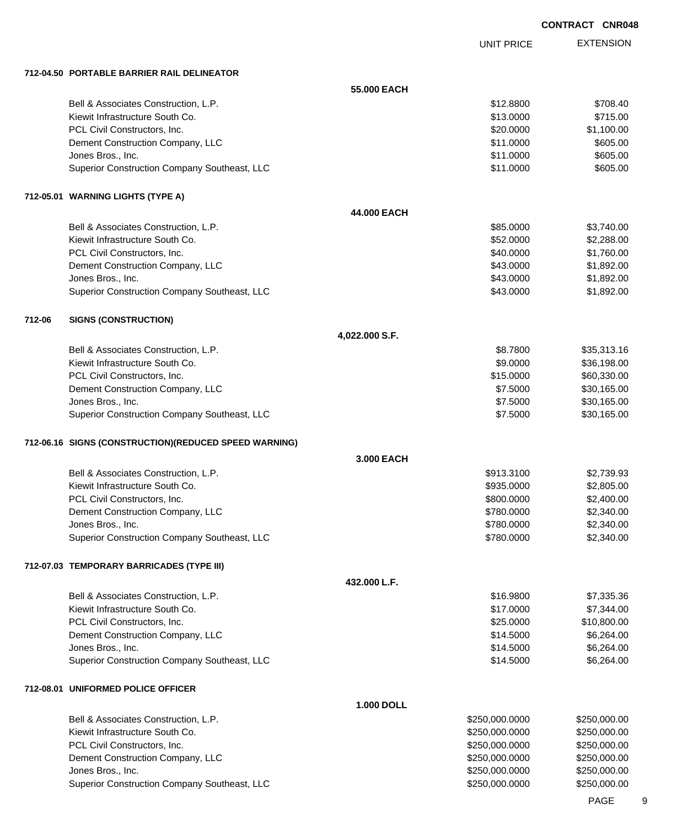UNIT PRICE

EXTENSION

**712-04.50 PORTABLE BARRIER RAIL DELINEATOR**

|        | 712-04.50 PORTABLE BARRIER RAIL DELINEATOR            |                   |                |              |
|--------|-------------------------------------------------------|-------------------|----------------|--------------|
|        |                                                       | 55,000 EACH       |                |              |
|        | Bell & Associates Construction, L.P.                  |                   | \$12,8800      | \$708.40     |
|        | Kiewit Infrastructure South Co.                       |                   | \$13.0000      | \$715.00     |
|        | PCL Civil Constructors, Inc.                          |                   | \$20.0000      | \$1,100.00   |
|        | Dement Construction Company, LLC                      |                   | \$11.0000      | \$605.00     |
|        | Jones Bros., Inc.                                     |                   | \$11.0000      | \$605.00     |
|        | Superior Construction Company Southeast, LLC          |                   | \$11.0000      | \$605.00     |
|        | 712-05.01 WARNING LIGHTS (TYPE A)                     |                   |                |              |
|        |                                                       | 44.000 EACH       |                |              |
|        | Bell & Associates Construction, L.P.                  |                   | \$85.0000      | \$3,740.00   |
|        | Kiewit Infrastructure South Co.                       |                   | \$52.0000      | \$2,288.00   |
|        | PCL Civil Constructors, Inc.                          |                   | \$40.0000      | \$1,760.00   |
|        | Dement Construction Company, LLC                      |                   | \$43.0000      | \$1,892.00   |
|        | Jones Bros., Inc.                                     |                   | \$43.0000      | \$1,892.00   |
|        | Superior Construction Company Southeast, LLC          |                   | \$43.0000      | \$1,892.00   |
| 712-06 | <b>SIGNS (CONSTRUCTION)</b>                           |                   |                |              |
|        |                                                       | 4,022.000 S.F.    |                |              |
|        | Bell & Associates Construction, L.P.                  |                   | \$8.7800       | \$35,313.16  |
|        | Kiewit Infrastructure South Co.                       |                   | \$9.0000       | \$36,198.00  |
|        | PCL Civil Constructors, Inc.                          |                   | \$15.0000      | \$60,330.00  |
|        | Dement Construction Company, LLC                      |                   | \$7.5000       | \$30,165.00  |
|        | Jones Bros., Inc.                                     |                   | \$7.5000       | \$30,165.00  |
|        | Superior Construction Company Southeast, LLC          |                   | \$7.5000       | \$30,165.00  |
|        | 712-06.16 SIGNS (CONSTRUCTION)(REDUCED SPEED WARNING) |                   |                |              |
|        |                                                       | 3.000 EACH        |                |              |
|        | Bell & Associates Construction, L.P.                  |                   | \$913.3100     | \$2,739.93   |
|        | Kiewit Infrastructure South Co.                       |                   | \$935.0000     | \$2,805.00   |
|        | PCL Civil Constructors, Inc.                          |                   | \$800.0000     | \$2,400.00   |
|        | Dement Construction Company, LLC                      |                   | \$780.0000     | \$2,340.00   |
|        | Jones Bros., Inc.                                     |                   | \$780.0000     | \$2,340.00   |
|        | Superior Construction Company Southeast, LLC          |                   | \$780.0000     | \$2,340.00   |
|        | 712-07.03 TEMPORARY BARRICADES (TYPE III)             |                   |                |              |
|        |                                                       | 432.000 L.F.      |                |              |
|        | Bell & Associates Construction, L.P.                  |                   | \$16.9800      | \$7,335.36   |
|        | Kiewit Infrastructure South Co.                       |                   | \$17.0000      | \$7,344.00   |
|        | PCL Civil Constructors, Inc.                          |                   | \$25.0000      | \$10,800.00  |
|        | Dement Construction Company, LLC                      |                   | \$14.5000      | \$6,264.00   |
|        | Jones Bros., Inc.                                     |                   | \$14.5000      | \$6,264.00   |
|        | Superior Construction Company Southeast, LLC          |                   | \$14.5000      | \$6,264.00   |
|        | 712-08.01 UNIFORMED POLICE OFFICER                    |                   |                |              |
|        |                                                       | <b>1.000 DOLL</b> |                |              |
|        | Bell & Associates Construction, L.P.                  |                   | \$250,000.0000 | \$250,000.00 |
|        | Kiewit Infrastructure South Co.                       |                   | \$250,000.0000 | \$250,000.00 |
|        | PCL Civil Constructors, Inc.                          |                   | \$250,000.0000 | \$250,000.00 |
|        | Dement Construction Company, LLC                      |                   | \$250,000.0000 | \$250,000.00 |
|        | Jones Bros., Inc.                                     |                   | \$250,000.0000 | \$250,000.00 |
|        | Superior Construction Company Southeast, LLC          |                   | \$250,000.0000 | \$250,000.00 |

PAGE 9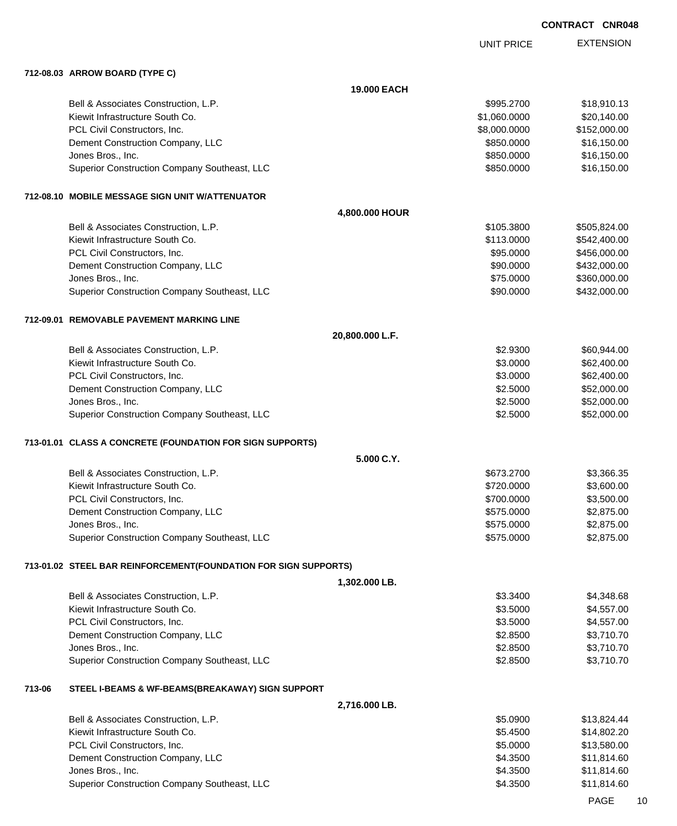UNIT PRICE

EXTENSION

**712-08.03 ARROW BOARD (TYPE C)**

|        |                                                                 | <b>19,000 EACH</b> |              |              |
|--------|-----------------------------------------------------------------|--------------------|--------------|--------------|
|        | Bell & Associates Construction, L.P.                            |                    | \$995.2700   | \$18,910.13  |
|        | Kiewit Infrastructure South Co.                                 |                    | \$1,060.0000 | \$20,140.00  |
|        | PCL Civil Constructors, Inc.                                    |                    | \$8,000.0000 | \$152,000.00 |
|        | Dement Construction Company, LLC                                |                    | \$850.0000   | \$16,150.00  |
|        | Jones Bros., Inc.                                               |                    | \$850.0000   | \$16,150.00  |
|        | Superior Construction Company Southeast, LLC                    |                    | \$850.0000   | \$16,150.00  |
|        | 712-08.10 MOBILE MESSAGE SIGN UNIT W/ATTENUATOR                 |                    |              |              |
|        |                                                                 | 4,800.000 HOUR     |              |              |
|        | Bell & Associates Construction, L.P.                            |                    | \$105.3800   | \$505,824.00 |
|        | Kiewit Infrastructure South Co.                                 |                    | \$113.0000   | \$542,400.00 |
|        | PCL Civil Constructors, Inc.                                    |                    | \$95.0000    | \$456,000.00 |
|        | Dement Construction Company, LLC                                |                    | \$90.0000    | \$432,000.00 |
|        | Jones Bros., Inc.                                               |                    | \$75.0000    | \$360,000.00 |
|        | Superior Construction Company Southeast, LLC                    |                    | \$90.0000    | \$432,000.00 |
|        | 712-09.01 REMOVABLE PAVEMENT MARKING LINE                       |                    |              |              |
|        |                                                                 | 20,800.000 L.F.    |              |              |
|        | Bell & Associates Construction, L.P.                            |                    | \$2.9300     | \$60,944.00  |
|        | Kiewit Infrastructure South Co.                                 |                    | \$3.0000     | \$62,400.00  |
|        | PCL Civil Constructors, Inc.                                    |                    | \$3.0000     | \$62,400.00  |
|        | Dement Construction Company, LLC                                |                    | \$2.5000     | \$52,000.00  |
|        | Jones Bros., Inc.                                               |                    | \$2.5000     | \$52,000.00  |
|        | Superior Construction Company Southeast, LLC                    |                    | \$2.5000     | \$52,000.00  |
|        | 713-01.01 CLASS A CONCRETE (FOUNDATION FOR SIGN SUPPORTS)       |                    |              |              |
|        |                                                                 | 5.000 C.Y.         |              |              |
|        | Bell & Associates Construction, L.P.                            |                    | \$673.2700   | \$3,366.35   |
|        | Kiewit Infrastructure South Co.                                 |                    | \$720.0000   | \$3,600.00   |
|        | PCL Civil Constructors, Inc.                                    |                    | \$700.0000   | \$3,500.00   |
|        | Dement Construction Company, LLC                                |                    | \$575.0000   | \$2,875.00   |
|        | Jones Bros., Inc.                                               |                    | \$575.0000   | \$2,875.00   |
|        | Superior Construction Company Southeast, LLC                    |                    | \$575.0000   | \$2,875.00   |
|        | 713-01.02 STEEL BAR REINFORCEMENT(FOUNDATION FOR SIGN SUPPORTS) |                    |              |              |
|        |                                                                 | 1,302.000 LB.      |              |              |
|        | Bell & Associates Construction, L.P.                            |                    | \$3.3400     | \$4,348.68   |
|        | Kiewit Infrastructure South Co.                                 |                    | \$3.5000     | \$4,557.00   |
|        | PCL Civil Constructors, Inc.                                    |                    | \$3.5000     | \$4,557.00   |
|        | Dement Construction Company, LLC                                |                    | \$2.8500     | \$3,710.70   |
|        | Jones Bros., Inc.                                               |                    | \$2.8500     | \$3,710.70   |
|        | Superior Construction Company Southeast, LLC                    |                    | \$2.8500     | \$3,710.70   |
| 713-06 | STEEL I-BEAMS & WF-BEAMS(BREAKAWAY) SIGN SUPPORT                |                    |              |              |
|        |                                                                 | 2,716.000 LB.      |              |              |
|        | Bell & Associates Construction, L.P.                            |                    | \$5.0900     | \$13,824.44  |
|        | Kiewit Infrastructure South Co.                                 |                    | \$5.4500     | \$14,802.20  |
|        | PCL Civil Constructors, Inc.                                    |                    | \$5.0000     | \$13,580.00  |
|        | Dement Construction Company, LLC                                |                    | \$4.3500     | \$11,814.60  |
|        | Jones Bros., Inc.                                               |                    | \$4.3500     | \$11,814.60  |
|        | Superior Construction Company Southeast, LLC                    |                    | \$4.3500     | \$11,814.60  |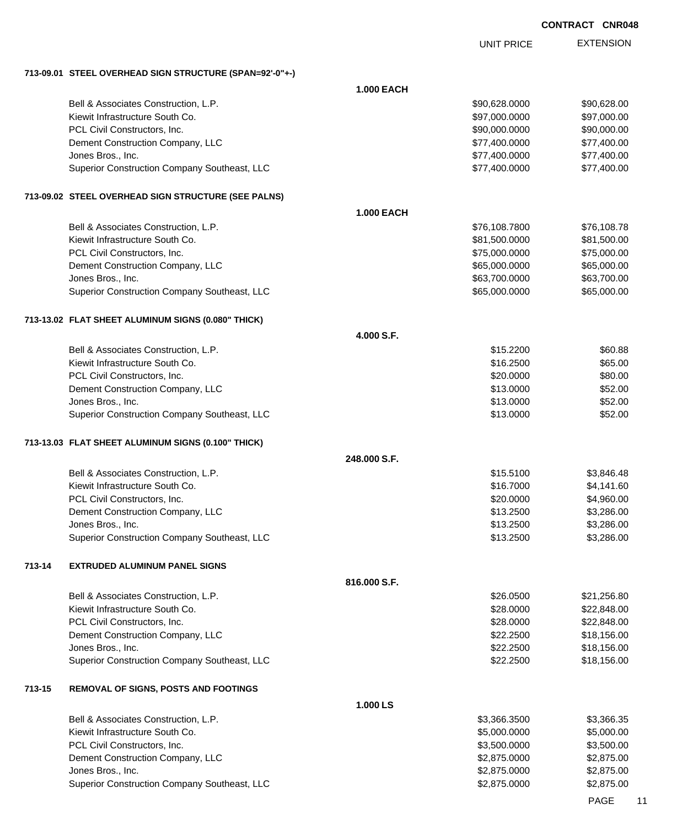|        |                                                                   |                   | <b>UNIT PRICE</b>            | <b>EXTENSION</b>         |
|--------|-------------------------------------------------------------------|-------------------|------------------------------|--------------------------|
|        | 713-09.01 STEEL OVERHEAD SIGN STRUCTURE (SPAN=92'-0"+-)           |                   |                              |                          |
|        |                                                                   | <b>1.000 EACH</b> |                              |                          |
|        | Bell & Associates Construction, L.P.                              |                   | \$90,628.0000                | \$90,628.00              |
|        | Kiewit Infrastructure South Co.                                   |                   | \$97,000.0000                | \$97,000.00              |
|        | PCL Civil Constructors, Inc.                                      |                   | \$90,000.0000                | \$90,000.00              |
|        | Dement Construction Company, LLC                                  |                   | \$77,400.0000                | \$77,400.00              |
|        | Jones Bros., Inc.                                                 |                   | \$77,400.0000                | \$77,400.00              |
|        | Superior Construction Company Southeast, LLC                      |                   | \$77,400.0000                | \$77,400.00              |
|        | 713-09.02 STEEL OVERHEAD SIGN STRUCTURE (SEE PALNS)               |                   |                              |                          |
|        |                                                                   | <b>1.000 EACH</b> |                              |                          |
|        | Bell & Associates Construction, L.P.                              |                   | \$76,108.7800                | \$76,108.78              |
|        | Kiewit Infrastructure South Co.                                   |                   | \$81,500.0000                | \$81,500.00              |
|        | PCL Civil Constructors, Inc.                                      |                   | \$75,000.0000                | \$75,000.00              |
|        | Dement Construction Company, LLC                                  |                   | \$65,000.0000                | \$65,000.00              |
|        | Jones Bros., Inc.                                                 |                   | \$63,700.0000                | \$63,700.00              |
|        | Superior Construction Company Southeast, LLC                      |                   | \$65,000.0000                | \$65,000.00              |
|        | 713-13.02 FLAT SHEET ALUMINUM SIGNS (0.080" THICK)                |                   |                              |                          |
|        |                                                                   | 4.000 S.F.        |                              |                          |
|        | Bell & Associates Construction, L.P.                              |                   | \$15.2200                    | \$60.88                  |
|        | Kiewit Infrastructure South Co.                                   |                   | \$16.2500                    | \$65.00                  |
|        | PCL Civil Constructors, Inc.                                      |                   | \$20.0000                    | \$80.00                  |
|        | Dement Construction Company, LLC                                  |                   | \$13.0000                    | \$52.00<br>\$52.00       |
|        | Jones Bros., Inc.<br>Superior Construction Company Southeast, LLC |                   | \$13.0000<br>\$13.0000       | \$52.00                  |
|        | 713-13.03 FLAT SHEET ALUMINUM SIGNS (0.100" THICK)                |                   |                              |                          |
|        |                                                                   | 248.000 S.F.      |                              |                          |
|        | Bell & Associates Construction, L.P.                              |                   | \$15.5100                    | \$3,846.48               |
|        | Kiewit Infrastructure South Co.                                   |                   | \$16.7000                    | \$4,141.60               |
|        | PCL Civil Constructors, Inc.                                      |                   | \$20.0000                    | \$4,960.00               |
|        | Dement Construction Company, LLC                                  |                   | \$13.2500                    | \$3,286.00               |
|        | Jones Bros., Inc.                                                 |                   | \$13.2500                    | \$3,286.00               |
|        | Superior Construction Company Southeast, LLC                      |                   | \$13.2500                    | \$3,286.00               |
| 713-14 | <b>EXTRUDED ALUMINUM PANEL SIGNS</b>                              |                   |                              |                          |
|        |                                                                   | 816.000 S.F.      |                              |                          |
|        | Bell & Associates Construction, L.P.                              |                   | \$26.0500                    | \$21,256.80              |
|        | Kiewit Infrastructure South Co.                                   |                   | \$28.0000                    | \$22,848.00              |
|        | PCL Civil Constructors, Inc.                                      |                   | \$28.0000                    | \$22,848.00              |
|        | Dement Construction Company, LLC                                  |                   | \$22.2500                    | \$18,156.00              |
|        | Jones Bros., Inc.                                                 |                   | \$22.2500                    | \$18,156.00              |
|        | Superior Construction Company Southeast, LLC                      |                   | \$22.2500                    | \$18,156.00              |
| 713-15 | <b>REMOVAL OF SIGNS, POSTS AND FOOTINGS</b>                       |                   |                              |                          |
|        |                                                                   | 1.000 LS          |                              |                          |
|        | Bell & Associates Construction, L.P.                              |                   | \$3,366.3500                 | \$3,366.35               |
|        | Kiewit Infrastructure South Co.                                   |                   | \$5,000.0000                 | \$5,000.00               |
|        | PCL Civil Constructors, Inc.                                      |                   | \$3,500.0000                 | \$3,500.00               |
|        | Dement Construction Company, LLC<br>Jones Bros., Inc.             |                   | \$2,875.0000<br>\$2,875.0000 | \$2,875.00<br>\$2,875.00 |
|        |                                                                   |                   |                              |                          |

Superior Construction Company Southeast, LLC \$2,875.0000 \$2,875.0000 \$2,875.0000

PAGE 11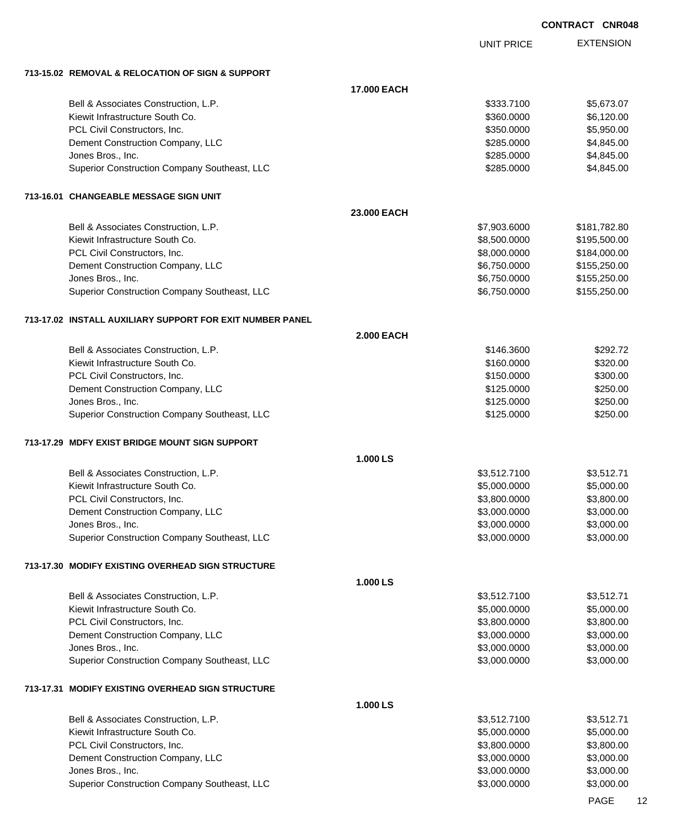UNIT PRICE EXTENSION

**713-15.02 REMOVAL & RELOCATION OF SIGN & SUPPORT**

| 713-15.02 REMOVAL & RELOCATION OF SIGN & SUPPORT          |                    |              |              |
|-----------------------------------------------------------|--------------------|--------------|--------------|
|                                                           | <b>17.000 EACH</b> |              |              |
| Bell & Associates Construction, L.P.                      |                    | \$333.7100   | \$5,673.07   |
| Kiewit Infrastructure South Co.                           |                    | \$360.0000   | \$6,120.00   |
| PCL Civil Constructors, Inc.                              |                    | \$350.0000   | \$5,950.00   |
| Dement Construction Company, LLC                          |                    | \$285.0000   | \$4,845.00   |
| Jones Bros., Inc.                                         |                    | \$285.0000   | \$4,845.00   |
| Superior Construction Company Southeast, LLC              |                    | \$285.0000   | \$4,845.00   |
|                                                           |                    |              |              |
| 713-16.01 CHANGEABLE MESSAGE SIGN UNIT                    |                    |              |              |
|                                                           | 23.000 EACH        |              |              |
| Bell & Associates Construction, L.P.                      |                    | \$7,903.6000 | \$181,782.80 |
| Kiewit Infrastructure South Co.                           |                    | \$8,500.0000 | \$195,500.00 |
| PCL Civil Constructors, Inc.                              |                    | \$8,000.0000 | \$184,000.00 |
| Dement Construction Company, LLC                          |                    | \$6,750.0000 | \$155,250.00 |
| Jones Bros., Inc.                                         |                    | \$6,750.0000 | \$155,250.00 |
| Superior Construction Company Southeast, LLC              |                    | \$6,750.0000 | \$155,250.00 |
| 713-17.02 INSTALL AUXILIARY SUPPORT FOR EXIT NUMBER PANEL |                    |              |              |
|                                                           | <b>2.000 EACH</b>  |              |              |
| Bell & Associates Construction, L.P.                      |                    | \$146.3600   | \$292.72     |
| Kiewit Infrastructure South Co.                           |                    | \$160.0000   | \$320.00     |
| PCL Civil Constructors, Inc.                              |                    | \$150.0000   | \$300.00     |
| Dement Construction Company, LLC                          |                    | \$125.0000   | \$250.00     |
| Jones Bros., Inc.                                         |                    | \$125.0000   | \$250.00     |
| Superior Construction Company Southeast, LLC              |                    | \$125.0000   | \$250.00     |
| 713-17.29 MDFY EXIST BRIDGE MOUNT SIGN SUPPORT            |                    |              |              |
|                                                           | 1.000 LS           |              |              |
| Bell & Associates Construction, L.P.                      |                    | \$3,512.7100 | \$3,512.71   |
| Kiewit Infrastructure South Co.                           |                    | \$5,000.0000 | \$5,000.00   |
| PCL Civil Constructors, Inc.                              |                    | \$3,800.0000 | \$3,800.00   |
| Dement Construction Company, LLC                          |                    | \$3,000.0000 | \$3,000.00   |
| Jones Bros., Inc.                                         |                    | \$3,000.0000 | \$3,000.00   |
| Superior Construction Company Southeast, LLC              |                    | \$3,000.0000 | \$3,000.00   |
| 713-17.30 MODIFY EXISTING OVERHEAD SIGN STRUCTURE         |                    |              |              |
|                                                           | 1.000 LS           |              |              |
| Bell & Associates Construction, L.P.                      |                    | \$3,512.7100 | \$3,512.71   |
| Kiewit Infrastructure South Co.                           |                    | \$5,000.0000 | \$5,000.00   |
| PCL Civil Constructors, Inc.                              |                    | \$3,800.0000 | \$3,800.00   |
| Dement Construction Company, LLC                          |                    | \$3,000.0000 | \$3,000.00   |
| Jones Bros., Inc.                                         |                    | \$3,000.0000 | \$3,000.00   |
| Superior Construction Company Southeast, LLC              |                    | \$3,000.0000 | \$3,000.00   |
| 713-17.31 MODIFY EXISTING OVERHEAD SIGN STRUCTURE         |                    |              |              |
|                                                           | 1.000 LS           |              |              |
| Bell & Associates Construction, L.P.                      |                    | \$3,512.7100 | \$3,512.71   |
| Kiewit Infrastructure South Co.                           |                    | \$5,000.0000 | \$5,000.00   |
| PCL Civil Constructors, Inc.                              |                    | \$3,800.0000 | \$3,800.00   |
| Dement Construction Company, LLC                          |                    | \$3,000.0000 | \$3,000.00   |
| Jones Bros., Inc.                                         |                    | \$3,000.0000 | \$3,000.00   |
| Superior Construction Company Southeast, LLC              |                    | \$3,000.0000 | \$3,000.00   |
|                                                           |                    |              |              |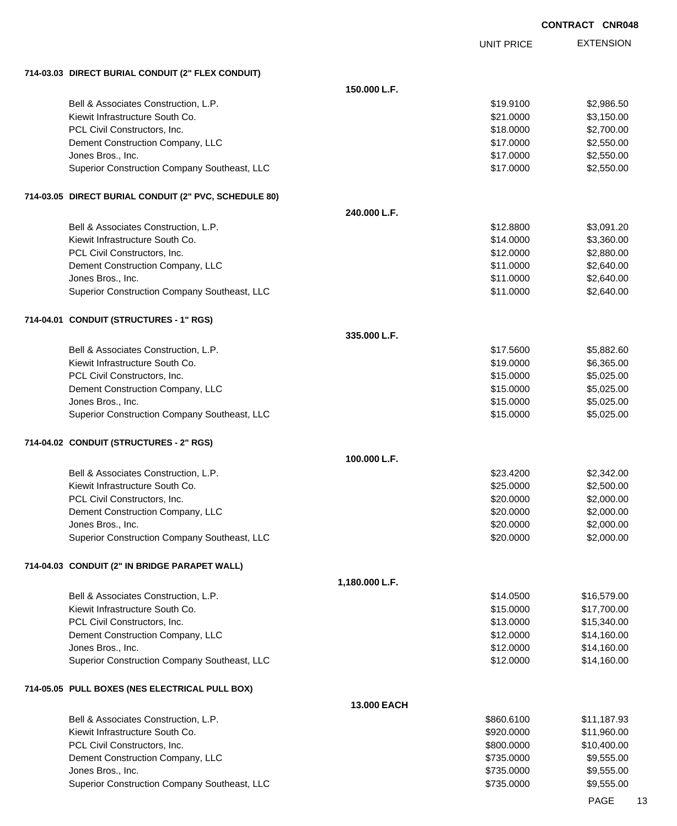|                                                       |                | <b>UNIT PRICE</b> | <b>EXTENSION</b> |
|-------------------------------------------------------|----------------|-------------------|------------------|
|                                                       |                |                   |                  |
| 714-03.03 DIRECT BURIAL CONDUIT (2" FLEX CONDUIT)     |                |                   |                  |
| Bell & Associates Construction, L.P.                  | 150.000 L.F.   | \$19.9100         | \$2,986.50       |
| Kiewit Infrastructure South Co.                       |                | \$21.0000         | \$3,150.00       |
| PCL Civil Constructors, Inc.                          |                | \$18.0000         | \$2,700.00       |
| Dement Construction Company, LLC                      |                | \$17.0000         | \$2,550.00       |
| Jones Bros., Inc.                                     |                | \$17.0000         | \$2,550.00       |
| Superior Construction Company Southeast, LLC          |                | \$17.0000         | \$2,550.00       |
|                                                       |                |                   |                  |
| 714-03.05 DIRECT BURIAL CONDUIT (2" PVC, SCHEDULE 80) |                |                   |                  |
|                                                       | 240.000 L.F.   |                   |                  |
| Bell & Associates Construction, L.P.                  |                | \$12.8800         | \$3,091.20       |
| Kiewit Infrastructure South Co.                       |                | \$14.0000         | \$3,360.00       |
| PCL Civil Constructors, Inc.                          |                | \$12.0000         | \$2,880.00       |
| Dement Construction Company, LLC                      |                | \$11.0000         | \$2,640.00       |
| Jones Bros., Inc.                                     |                | \$11.0000         | \$2,640.00       |
| Superior Construction Company Southeast, LLC          |                | \$11.0000         | \$2,640.00       |
| 714-04.01 CONDUIT (STRUCTURES - 1" RGS)               |                |                   |                  |
|                                                       | 335.000 L.F.   |                   |                  |
| Bell & Associates Construction, L.P.                  |                | \$17.5600         | \$5,882.60       |
| Kiewit Infrastructure South Co.                       |                | \$19.0000         | \$6,365.00       |
| PCL Civil Constructors, Inc.                          |                | \$15.0000         | \$5,025.00       |
| Dement Construction Company, LLC                      |                | \$15.0000         | \$5,025.00       |
| Jones Bros., Inc.                                     |                | \$15.0000         | \$5,025.00       |
| Superior Construction Company Southeast, LLC          |                | \$15.0000         | \$5,025.00       |
| 714-04.02 CONDUIT (STRUCTURES - 2" RGS)               |                |                   |                  |
|                                                       | 100.000 L.F.   |                   |                  |
| Bell & Associates Construction, L.P.                  |                | \$23.4200         | \$2,342.00       |
| Kiewit Infrastructure South Co.                       |                | \$25.0000         | \$2,500.00       |
| PCL Civil Constructors, Inc.                          |                | \$20.0000         | \$2,000.00       |
| Dement Construction Company, LLC                      |                | \$20.0000         | \$2,000.00       |
| Jones Bros., Inc.                                     |                | \$20.0000         | \$2,000.00       |
| Superior Construction Company Southeast, LLC          |                | \$20.0000         | \$2,000.00       |
|                                                       |                |                   |                  |
| 714-04.03 CONDUIT (2" IN BRIDGE PARAPET WALL)         | 1,180.000 L.F. |                   |                  |
| Bell & Associates Construction, L.P.                  |                | \$14.0500         | \$16,579.00      |
| Kiewit Infrastructure South Co.                       |                | \$15.0000         | \$17,700.00      |
| PCL Civil Constructors, Inc.                          |                | \$13.0000         | \$15,340.00      |
| Dement Construction Company, LLC                      |                | \$12.0000         | \$14,160.00      |
| Jones Bros., Inc.                                     |                | \$12.0000         | \$14,160.00      |
| Superior Construction Company Southeast, LLC          |                | \$12.0000         | \$14,160.00      |
| 714-05.05 PULL BOXES (NES ELECTRICAL PULL BOX)        |                |                   |                  |
|                                                       | 13.000 EACH    |                   |                  |
| Bell & Associates Construction, L.P.                  |                | \$860.6100        | \$11,187.93      |
| Kiewit Infrastructure South Co.                       |                | \$920.0000        | \$11,960.00      |
| PCL Civil Constructors, Inc.                          |                | \$800.0000        | \$10,400.00      |
| Dement Construction Company, LLC                      |                | \$735.0000        | \$9,555.00       |
| Jones Bros., Inc.                                     |                | \$735.0000        | \$9,555.00       |
| Superior Construction Company Southeast, LLC          |                | \$735.0000        | \$9,555.00       |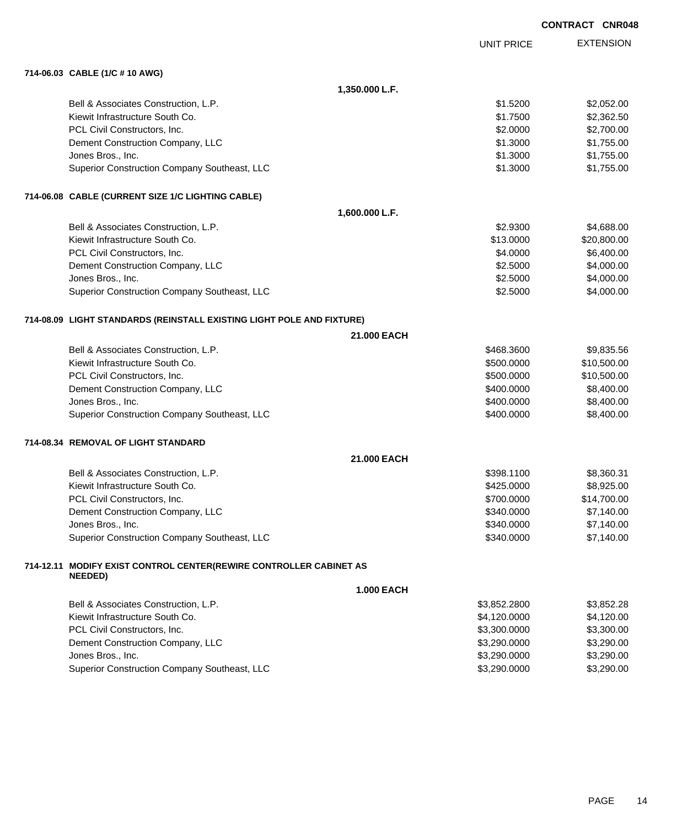|                                                                                      |                   |                   | <b>CONTRACT CNR048</b> |
|--------------------------------------------------------------------------------------|-------------------|-------------------|------------------------|
|                                                                                      |                   | <b>UNIT PRICE</b> | <b>EXTENSION</b>       |
| 714-06.03 CABLE (1/C # 10 AWG)                                                       |                   |                   |                        |
|                                                                                      | 1,350.000 L.F.    |                   |                        |
| Bell & Associates Construction, L.P.                                                 |                   | \$1.5200          | \$2,052.00             |
| Kiewit Infrastructure South Co.                                                      |                   | \$1.7500          | \$2,362.50             |
| PCL Civil Constructors, Inc.                                                         |                   | \$2.0000          | \$2,700.00             |
| Dement Construction Company, LLC                                                     |                   | \$1.3000          | \$1,755.00             |
| Jones Bros., Inc.                                                                    |                   | \$1.3000          | \$1,755.00             |
| Superior Construction Company Southeast, LLC                                         |                   | \$1.3000          | \$1,755.00             |
| 714-06.08 CABLE (CURRENT SIZE 1/C LIGHTING CABLE)                                    |                   |                   |                        |
|                                                                                      | 1,600.000 L.F.    |                   |                        |
| Bell & Associates Construction, L.P.                                                 |                   | \$2,9300          | \$4,688.00             |
| Kiewit Infrastructure South Co.                                                      |                   | \$13.0000         | \$20,800.00            |
| PCL Civil Constructors, Inc.                                                         |                   | \$4.0000          | \$6,400.00             |
| Dement Construction Company, LLC                                                     |                   | \$2.5000          | \$4,000.00             |
| Jones Bros., Inc.                                                                    |                   | \$2.5000          | \$4,000.00             |
| Superior Construction Company Southeast, LLC                                         |                   | \$2.5000          | \$4,000.00             |
| 714-08.09 LIGHT STANDARDS (REINSTALL EXISTING LIGHT POLE AND FIXTURE)                |                   |                   |                        |
|                                                                                      | 21.000 EACH       |                   |                        |
| Bell & Associates Construction, L.P.                                                 |                   | \$468.3600        | \$9,835.56             |
| Kiewit Infrastructure South Co.                                                      |                   | \$500.0000        | \$10,500.00            |
| PCL Civil Constructors, Inc.                                                         |                   | \$500.0000        | \$10,500.00            |
| Dement Construction Company, LLC                                                     |                   | \$400.0000        | \$8,400.00             |
| Jones Bros., Inc.                                                                    |                   | \$400.0000        | \$8,400.00             |
| Superior Construction Company Southeast, LLC                                         |                   | \$400.0000        | \$8,400.00             |
| 714-08.34 REMOVAL OF LIGHT STANDARD                                                  |                   |                   |                        |
|                                                                                      | 21.000 EACH       |                   |                        |
| Bell & Associates Construction, L.P.                                                 |                   | \$398.1100        | \$8,360.31             |
| Kiewit Infrastructure South Co.                                                      |                   | \$425.0000        | \$8,925.00             |
| PCL Civil Constructors, Inc.                                                         |                   | \$700.0000        | \$14,700.00            |
| Dement Construction Company, LLC                                                     |                   | \$340.0000        | \$7,140.00             |
| Jones Bros., Inc.                                                                    |                   | \$340.0000        | \$7,140.00             |
| Superior Construction Company Southeast, LLC                                         |                   | \$340.0000        | \$7,140.00             |
| 714-12.11 MODIFY EXIST CONTROL CENTER(REWIRE CONTROLLER CABINET AS<br><b>NEEDED)</b> |                   |                   |                        |
|                                                                                      | <b>1.000 EACH</b> |                   |                        |
| Bell & Associates Construction, L.P.                                                 |                   | \$3,852.2800      | \$3,852.28             |
| Kiewit Infrastructure South Co.                                                      |                   | \$4,120.0000      | \$4,120.00             |
| PCL Civil Constructors, Inc.                                                         |                   | \$3,300.0000      | \$3,300.00             |
| Dement Construction Company, LLC                                                     |                   | \$3,290.0000      | \$3,290.00             |
| Jones Bros., Inc.                                                                    |                   | \$3,290.0000      | \$3,290.00             |
| Superior Construction Company Southeast, LLC                                         |                   | \$3,290.0000      | \$3,290.00             |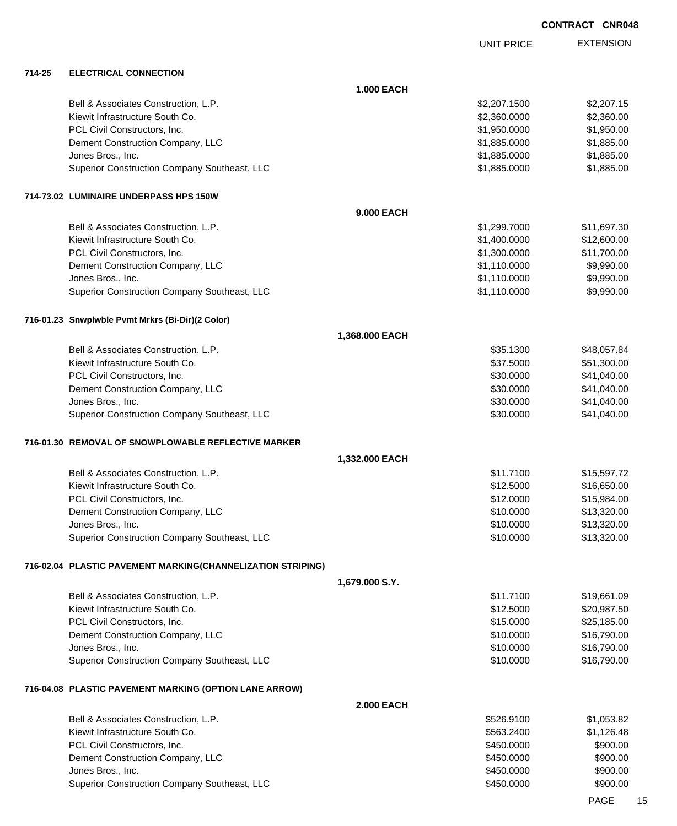UNIT PRICE

| 714-25 | <b>ELECTRICAL CONNECTION</b> |
|--------|------------------------------|
|        |                              |

| 714-25 | <b>ELECTRICAL CONNECTION</b>                                |                   |              |             |
|--------|-------------------------------------------------------------|-------------------|--------------|-------------|
|        |                                                             | <b>1.000 EACH</b> |              |             |
|        | Bell & Associates Construction, L.P.                        |                   | \$2,207.1500 | \$2,207.15  |
|        | Kiewit Infrastructure South Co.                             |                   | \$2,360.0000 | \$2,360.00  |
|        | PCL Civil Constructors, Inc.                                |                   | \$1,950.0000 | \$1,950.00  |
|        | Dement Construction Company, LLC                            |                   | \$1,885.0000 | \$1,885.00  |
|        | Jones Bros., Inc.                                           |                   | \$1,885.0000 | \$1,885.00  |
|        | Superior Construction Company Southeast, LLC                |                   | \$1,885.0000 | \$1,885.00  |
|        | 714-73.02 LUMINAIRE UNDERPASS HPS 150W                      |                   |              |             |
|        |                                                             | 9.000 EACH        |              |             |
|        | Bell & Associates Construction, L.P.                        |                   | \$1,299.7000 | \$11,697.30 |
|        | Kiewit Infrastructure South Co.                             |                   | \$1,400.0000 | \$12,600.00 |
|        | PCL Civil Constructors, Inc.                                |                   | \$1,300.0000 | \$11,700.00 |
|        | Dement Construction Company, LLC                            |                   | \$1,110.0000 | \$9,990.00  |
|        | Jones Bros., Inc.                                           |                   | \$1,110.0000 | \$9,990.00  |
|        | Superior Construction Company Southeast, LLC                |                   | \$1,110.0000 | \$9,990.00  |
|        | 716-01.23 Snwplwble Pvmt Mrkrs (Bi-Dir)(2 Color)            |                   |              |             |
|        |                                                             | 1,368.000 EACH    |              |             |
|        | Bell & Associates Construction, L.P.                        |                   | \$35.1300    | \$48,057.84 |
|        | Kiewit Infrastructure South Co.                             |                   | \$37.5000    | \$51,300.00 |
|        | PCL Civil Constructors, Inc.                                |                   | \$30.0000    | \$41,040.00 |
|        | Dement Construction Company, LLC                            |                   | \$30.0000    | \$41,040.00 |
|        | Jones Bros., Inc.                                           |                   | \$30.0000    | \$41,040.00 |
|        | Superior Construction Company Southeast, LLC                |                   | \$30.0000    | \$41,040.00 |
|        | 716-01.30 REMOVAL OF SNOWPLOWABLE REFLECTIVE MARKER         |                   |              |             |
|        |                                                             | 1,332.000 EACH    |              |             |
|        | Bell & Associates Construction, L.P.                        |                   | \$11.7100    | \$15,597.72 |
|        | Kiewit Infrastructure South Co.                             |                   | \$12.5000    | \$16,650.00 |
|        | PCL Civil Constructors, Inc.                                |                   | \$12.0000    | \$15,984.00 |
|        | Dement Construction Company, LLC                            |                   | \$10.0000    | \$13,320.00 |
|        | Jones Bros., Inc.                                           |                   | \$10.0000    | \$13,320.00 |
|        | Superior Construction Company Southeast, LLC                |                   | \$10.0000    | \$13,320.00 |
|        | 716-02.04 PLASTIC PAVEMENT MARKING(CHANNELIZATION STRIPING) |                   |              |             |
|        |                                                             | 1,679.000 S.Y.    |              |             |
|        | Bell & Associates Construction, L.P.                        |                   | \$11.7100    | \$19,661.09 |
|        | Kiewit Infrastructure South Co.                             |                   | \$12.5000    | \$20,987.50 |
|        | PCL Civil Constructors, Inc.                                |                   | \$15.0000    | \$25,185.00 |
|        | Dement Construction Company, LLC                            |                   | \$10.0000    | \$16,790.00 |
|        | Jones Bros., Inc.                                           |                   | \$10.0000    | \$16,790.00 |
|        | Superior Construction Company Southeast, LLC                |                   | \$10.0000    | \$16,790.00 |
|        | 716-04.08 PLASTIC PAVEMENT MARKING (OPTION LANE ARROW)      |                   |              |             |
|        |                                                             | <b>2.000 EACH</b> |              |             |
|        | Bell & Associates Construction, L.P.                        |                   | \$526.9100   | \$1,053.82  |
|        | Kiewit Infrastructure South Co.                             |                   | \$563.2400   | \$1,126.48  |
|        | PCL Civil Constructors, Inc.                                |                   | \$450.0000   | \$900.00    |
|        | Dement Construction Company, LLC                            |                   | \$450.0000   | \$900.00    |
|        | Jones Bros., Inc.                                           |                   | \$450.0000   | \$900.00    |
|        | Superior Construction Company Southeast, LLC                |                   | \$450.0000   | \$900.00    |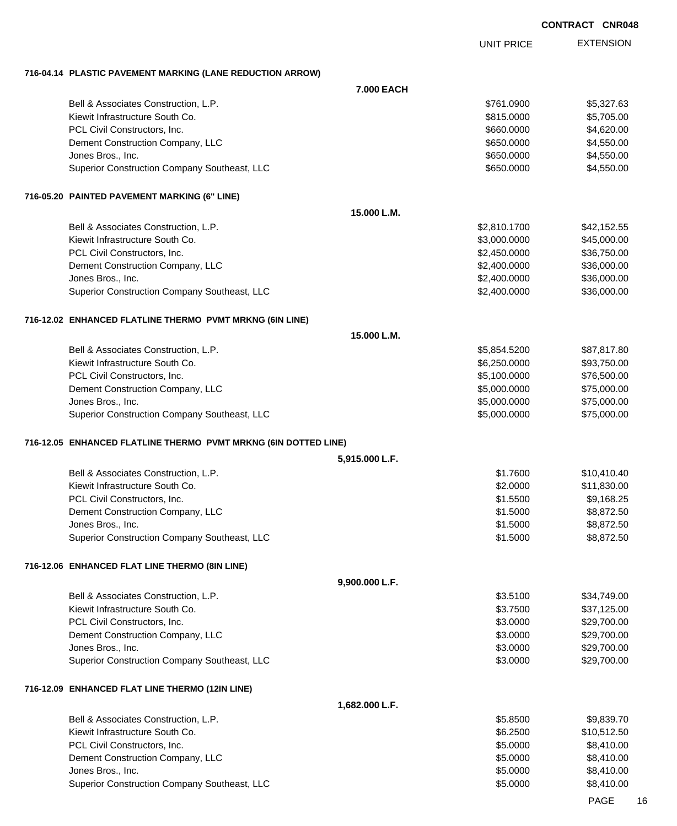EXTENSION UNIT PRICE **716-04.14 PLASTIC PAVEMENT MARKING (LANE REDUCTION ARROW) 7.000 EACH** Bell & Associates Construction, L.P. \$5,327.63 Kiewit Infrastructure South Co. **6. 1992 12:30 12:30 12:30 12:30 12:30 13:30 13:30 13:30 13:30 14:30 14:30 14:30** PCL Civil Constructors, Inc. 6. The constructors of the constructors of the constructors, Inc. 6. The constructors of the constructors of the constructors of the constructors of the constructors of the constructors of the Dement Construction Company, LLC 6650.000 \$4,550.000 \$4,550.000 Jones Bros., Inc. \$650.0000 \$4,550.00 Superior Construction Company Southeast, LLC  $$650.0000$  \$4,550.000 **716-05.20 PAINTED PAVEMENT MARKING (6" LINE) 15.000 L.M.** Bell & Associates Construction, L.P.  $$2,810.1700$   $$42,152.55$ Kiewit Infrastructure South Co. **\$3,000.000 \$45,000.000** \$45,000.000 \$45,000.000 \$45,000.00 PCL Civil Constructors, Inc. 6. The Constructors of the Constructors, Inc. 6. The Constructors, Inc. 6. The Constructors of the Constructors of the Constructors of the Constructors of the Constructors of the Constructors o Dement Construction Company, LLC 6.6000.000 \$2,400.0000 \$36,000.00 Jones Bros., Inc. \$2,400.0000 \$36,000.00 Superior Construction Company Southeast, LLC  $$2,400.0000$  \$36,000.00 **716-12.02 ENHANCED FLATLINE THERMO PVMT MRKNG (6IN LINE) 15.000 L.M.** Bell & Associates Construction, L.P. \$5,854.5200 \$87,817.80 Kiewit Infrastructure South Co. **\$6,250.000 \$93,750.00** \$93,750.00 PCL Civil Constructors, Inc. 6. The Civil Constructors, Inc. 6. The Civil Constructors, Inc. 6.100.000 \$76,500.00 Dement Construction Company, LLC 6.000.000 \$75,000.000 \$75,000.000 \$75,000.000 Jones Bros., Inc. \$5,000.0000 \$75,000.00 Superior Construction Company Southeast, LLC  $$5,000.0000$  \$75,000.000 \$75,000.00 **716-12.05 ENHANCED FLATLINE THERMO PVMT MRKNG (6IN DOTTED LINE) 5,915.000 L.F.** Bell & Associates Construction, L.P.  $$1.7600$   $$1.7600$   $$10.410.40$ Kiewit Infrastructure South Co. **\$2.0000 \$11,830.00** \$11,830.00 PCL Civil Constructors, Inc. 6. The extension of the extension of the state of the state of the state of the state of the state of the state of the state of the state of the state of the state of the state of the state of Dement Construction Company, LLC 6.6 and the state of the state of the state of the state of the state of the state of the state of the state of the state of the state of the state of the state of the state of the state of Jones Bros., Inc. \$1.5000 \$8,872.50 Superior Construction Company Southeast, LLC  $$1.5000$  \$8,872.50 **716-12.06 ENHANCED FLAT LINE THERMO (8IN LINE) 9,900.000 L.F.** Bell & Associates Construction, L.P.  $$34,749.00$ Kiewit Infrastructure South Co. **\$3.7500** \$37,125.00 PCL Civil Constructors, Inc. 6. The Constructors of the Constructors, Inc. 6. The Constructors, Inc. 6. The Constructors of the Constructors of the Constructors of the Constructors of the Constructors of the Constructors o Dement Construction Company, LLC 6 and the state of the state of the state  $$3.0000$  \$29,700.00 Jones Bros., Inc. \$3.0000 \$29,700.00 Superior Construction Company Southeast, LLC  $$3.0000$  \$29,700.00 **716-12.09 ENHANCED FLAT LINE THERMO (12IN LINE) 1,682.000 L.F.** Bell & Associates Construction, L.P. \$5.8500 \$9,839.70 Kiewit Infrastructure South Co. **\$10,512.50** \$10,512.50 PCL Civil Constructors, Inc. 68,410.00 Dement Construction Company, LLC 6.6 and the construction Company, LLC 6.6 and the construction Company, LLC Jones Bros., Inc. \$5.0000 \$8,410.00

Superior Construction Company Southeast, LLC  $$5.0000$  \$8,410.00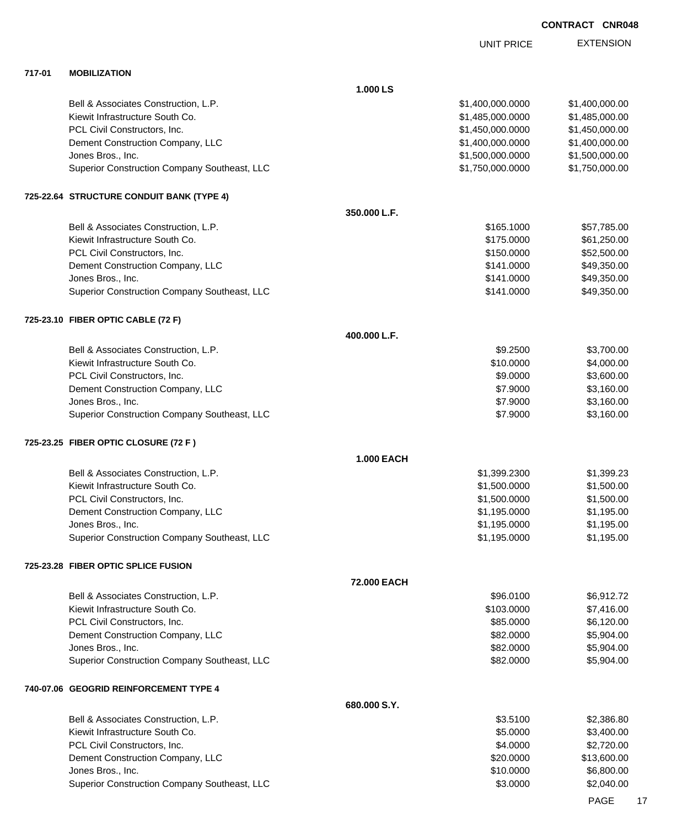|        |                                              |                   | <b>UNIT PRICE</b> | <b>EXTENSION</b> |
|--------|----------------------------------------------|-------------------|-------------------|------------------|
| 717-01 | <b>MOBILIZATION</b>                          |                   |                   |                  |
|        |                                              | 1.000 LS          |                   |                  |
|        | Bell & Associates Construction, L.P.         |                   | \$1,400,000.0000  | \$1,400,000.00   |
|        | Kiewit Infrastructure South Co.              |                   | \$1,485,000.0000  | \$1,485,000.00   |
|        | PCL Civil Constructors, Inc.                 |                   | \$1,450,000.0000  | \$1,450,000.00   |
|        | Dement Construction Company, LLC             |                   | \$1,400,000.0000  | \$1,400,000.00   |
|        | Jones Bros., Inc.                            |                   | \$1,500,000.0000  | \$1,500,000.00   |
|        | Superior Construction Company Southeast, LLC |                   | \$1,750,000.0000  | \$1,750,000.00   |
|        | 725-22.64 STRUCTURE CONDUIT BANK (TYPE 4)    |                   |                   |                  |
|        |                                              | 350.000 L.F.      |                   |                  |
|        | Bell & Associates Construction, L.P.         |                   | \$165.1000        | \$57,785.00      |
|        | Kiewit Infrastructure South Co.              |                   | \$175.0000        | \$61,250.00      |
|        | PCL Civil Constructors, Inc.                 |                   | \$150.0000        | \$52,500.00      |
|        | Dement Construction Company, LLC             |                   | \$141.0000        | \$49,350.00      |
|        | Jones Bros., Inc.                            |                   | \$141.0000        | \$49,350.00      |
|        | Superior Construction Company Southeast, LLC |                   | \$141.0000        | \$49,350.00      |
|        | 725-23.10 FIBER OPTIC CABLE (72 F)           |                   |                   |                  |
|        |                                              | 400.000 L.F.      |                   |                  |
|        | Bell & Associates Construction, L.P.         |                   | \$9.2500          | \$3,700.00       |
|        | Kiewit Infrastructure South Co.              |                   | \$10.0000         | \$4,000.00       |
|        | PCL Civil Constructors, Inc.                 |                   | \$9.0000          | \$3,600.00       |
|        | Dement Construction Company, LLC             |                   | \$7.9000          | \$3,160.00       |
|        | Jones Bros., Inc.                            |                   | \$7.9000          | \$3,160.00       |
|        | Superior Construction Company Southeast, LLC |                   | \$7.9000          | \$3,160.00       |
|        | 725-23.25 FIBER OPTIC CLOSURE (72 F)         |                   |                   |                  |
|        |                                              | <b>1.000 EACH</b> |                   |                  |
|        | Bell & Associates Construction, L.P.         |                   | \$1,399.2300      | \$1,399.23       |
|        | Kiewit Infrastructure South Co.              |                   | \$1,500.0000      | \$1,500.00       |
|        | PCL Civil Constructors, Inc.                 |                   | \$1,500.0000      | \$1,500.00       |
|        | Dement Construction Company, LLC             |                   | \$1,195.0000      | \$1,195.00       |
|        | Jones Bros., Inc.                            |                   | \$1,195.0000      | \$1,195.00       |
|        | Superior Construction Company Southeast, LLC |                   | \$1,195.0000      | \$1,195.00       |
|        | 725-23.28 FIBER OPTIC SPLICE FUSION          |                   |                   |                  |
|        |                                              | 72.000 EACH       |                   |                  |
|        | Bell & Associates Construction, L.P.         |                   | \$96.0100         | \$6,912.72       |
|        | Kiewit Infrastructure South Co.              |                   | \$103.0000        | \$7,416.00       |
|        | PCL Civil Constructors, Inc.                 |                   | \$85.0000         | \$6,120.00       |
|        | Dement Construction Company, LLC             |                   | \$82.0000         | \$5,904.00       |
|        | Jones Bros., Inc.                            |                   | \$82.0000         | \$5,904.00       |
|        | Superior Construction Company Southeast, LLC |                   | \$82.0000         | \$5,904.00       |
|        | 740-07.06 GEOGRID REINFORCEMENT TYPE 4       |                   |                   |                  |
|        |                                              | 680.000 S.Y.      |                   |                  |
|        | Bell & Associates Construction, L.P.         |                   | \$3.5100          | \$2,386.80       |
|        | Kiewit Infrastructure South Co.              |                   | \$5.0000          | \$3,400.00       |
|        | PCL Civil Constructors, Inc.                 |                   | \$4.0000          | \$2,720.00       |
|        | Dement Construction Company, LLC             |                   | \$20.0000         | \$13,600.00      |
|        | Jones Bros., Inc.                            |                   | \$10.0000         | \$6,800.00       |

Superior Construction Company Southeast, LLC  $$3.0000$  \$2,040.00

PAGE 17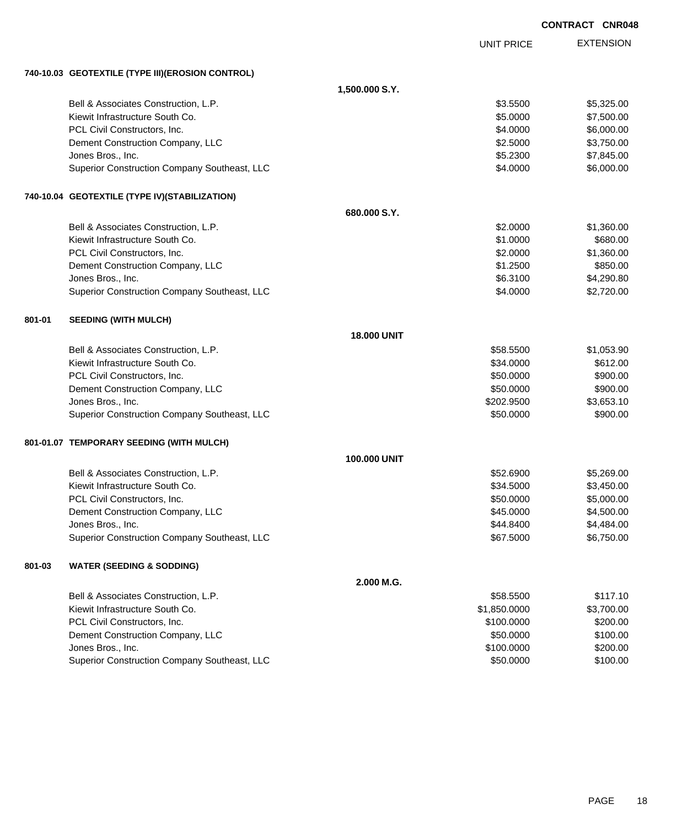|        |                                                  |                    |                   | <b>CONTRACT CNR048</b> |
|--------|--------------------------------------------------|--------------------|-------------------|------------------------|
|        |                                                  |                    | <b>UNIT PRICE</b> | <b>EXTENSION</b>       |
|        | 740-10.03 GEOTEXTILE (TYPE III)(EROSION CONTROL) |                    |                   |                        |
|        |                                                  | 1,500.000 S.Y.     |                   |                        |
|        | Bell & Associates Construction, L.P.             |                    | \$3.5500          | \$5,325.00             |
|        | Kiewit Infrastructure South Co.                  |                    | \$5.0000          | \$7,500.00             |
|        | PCL Civil Constructors, Inc.                     |                    | \$4.0000          | \$6,000.00             |
|        | Dement Construction Company, LLC                 |                    | \$2.5000          | \$3,750.00             |
|        | Jones Bros., Inc.                                |                    | \$5.2300          | \$7,845.00             |
|        | Superior Construction Company Southeast, LLC     |                    | \$4.0000          | \$6,000.00             |
|        | 740-10.04 GEOTEXTILE (TYPE IV)(STABILIZATION)    |                    |                   |                        |
|        |                                                  | 680.000 S.Y.       |                   |                        |
|        | Bell & Associates Construction, L.P.             |                    | \$2.0000          | \$1,360.00             |
|        | Kiewit Infrastructure South Co.                  |                    | \$1.0000          | \$680.00               |
|        | PCL Civil Constructors, Inc.                     |                    | \$2.0000          | \$1,360.00             |
|        | Dement Construction Company, LLC                 |                    | \$1.2500          | \$850.00               |
|        | Jones Bros., Inc.                                |                    | \$6.3100          | \$4,290.80             |
|        | Superior Construction Company Southeast, LLC     |                    | \$4.0000          | \$2,720.00             |
| 801-01 | <b>SEEDING (WITH MULCH)</b>                      |                    |                   |                        |
|        |                                                  | <b>18.000 UNIT</b> |                   |                        |
|        | Bell & Associates Construction, L.P.             |                    | \$58.5500         | \$1,053.90             |
|        | Kiewit Infrastructure South Co.                  |                    | \$34.0000         | \$612.00               |
|        | PCL Civil Constructors, Inc.                     |                    | \$50.0000         | \$900.00               |
|        | Dement Construction Company, LLC                 |                    | \$50.0000         | \$900.00               |
|        | Jones Bros., Inc.                                |                    | \$202.9500        | \$3,653.10             |
|        | Superior Construction Company Southeast, LLC     |                    | \$50.0000         | \$900.00               |
|        | 801-01.07 TEMPORARY SEEDING (WITH MULCH)         |                    |                   |                        |
|        |                                                  | 100.000 UNIT       |                   |                        |
|        | Bell & Associates Construction, L.P.             |                    | \$52.6900         | \$5,269.00             |
|        | Kiewit Infrastructure South Co.                  |                    | \$34.5000         | \$3,450.00             |
|        | PCL Civil Constructors, Inc.                     |                    | \$50.0000         | \$5,000.00             |
|        | Dement Construction Company, LLC                 |                    | \$45.0000         | \$4,500.00             |
|        | Jones Bros., Inc.                                |                    | \$44.8400         | \$4,484.00             |
|        | Superior Construction Company Southeast, LLC     |                    | \$67.5000         | \$6,750.00             |
| 801-03 | <b>WATER (SEEDING &amp; SODDING)</b>             |                    |                   |                        |
|        |                                                  | 2.000 M.G.         |                   |                        |
|        | Bell & Associates Construction, L.P.             |                    | \$58.5500         | \$117.10               |
|        | Kiewit Infrastructure South Co.                  |                    | \$1,850.0000      | \$3,700.00             |
|        | PCL Civil Constructors, Inc.                     |                    | \$100.0000        | \$200.00               |
|        | Dement Construction Company, LLC                 |                    | \$50.0000         | \$100.00               |
|        | Jones Bros., Inc.                                |                    | \$100.0000        | \$200.00               |
|        | Superior Construction Company Southeast, LLC     |                    | \$50.0000         | \$100.00               |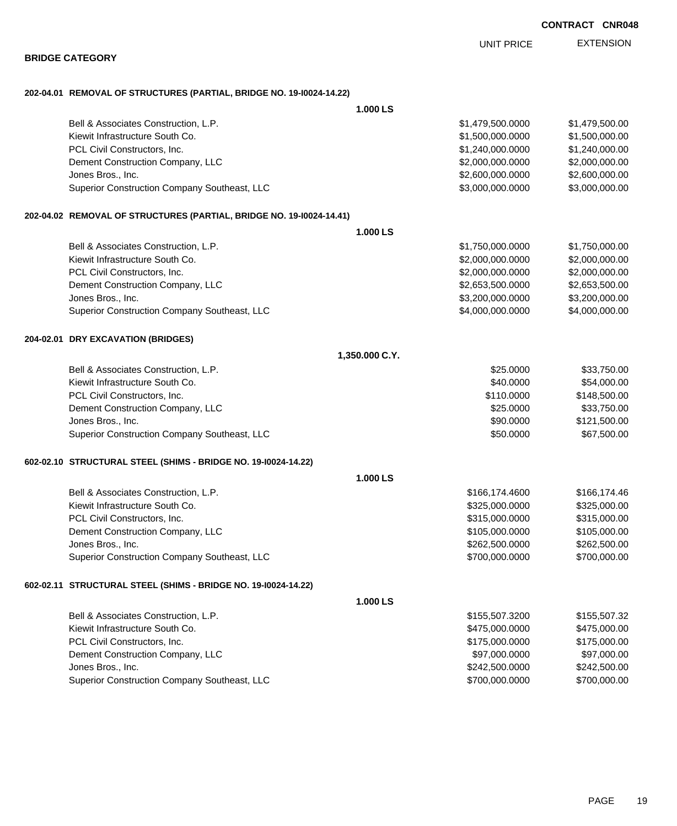|                                                                      |                   | <b>CONTRACT CNR048</b> |
|----------------------------------------------------------------------|-------------------|------------------------|
|                                                                      | <b>UNIT PRICE</b> | <b>EXTENSION</b>       |
| <b>BRIDGE CATEGORY</b>                                               |                   |                        |
| 202-04.01 REMOVAL OF STRUCTURES (PARTIAL, BRIDGE NO. 19-10024-14.22) |                   |                        |
|                                                                      | 1.000 LS          |                        |
| Bell & Associates Construction, L.P.                                 | \$1,479,500.0000  | \$1,479,500.00         |
| Kiewit Infrastructure South Co.                                      | \$1,500,000.0000  | \$1,500,000.00         |
| PCL Civil Constructors, Inc.                                         | \$1,240,000.0000  | \$1,240,000.00         |
| Dement Construction Company, LLC                                     | \$2,000,000.0000  | \$2,000,000.00         |
| Jones Bros., Inc.                                                    | \$2,600,000.0000  | \$2,600,000.00         |
| Superior Construction Company Southeast, LLC                         | \$3,000,000.0000  | \$3,000,000.00         |
| 202-04.02 REMOVAL OF STRUCTURES (PARTIAL, BRIDGE NO. 19-10024-14.41) |                   |                        |
|                                                                      | 1.000 LS          |                        |
| Bell & Associates Construction, L.P.                                 | \$1,750,000.0000  | \$1,750,000.00         |
| Kiewit Infrastructure South Co.                                      | \$2,000,000.0000  | \$2,000,000.00         |
| PCL Civil Constructors, Inc.                                         | \$2,000,000.0000  | \$2,000,000.00         |
| Dement Construction Company, LLC                                     | \$2,653,500.0000  | \$2,653,500.00         |
| Jones Bros., Inc.                                                    | \$3,200,000.0000  | \$3,200,000.00         |
| Superior Construction Company Southeast, LLC                         | \$4,000,000.0000  | \$4,000,000.00         |
| 204-02.01 DRY EXCAVATION (BRIDGES)                                   |                   |                        |
|                                                                      | 1,350.000 C.Y.    |                        |
| Bell & Associates Construction, L.P.                                 | \$25.0000         | \$33,750.00            |
| Kiewit Infrastructure South Co.                                      | \$40.0000         | \$54,000.00            |
| PCL Civil Constructors, Inc.                                         | \$110.0000        | \$148,500.00           |
| Dement Construction Company, LLC                                     | \$25.0000         | \$33,750.00            |
| Jones Bros., Inc.                                                    | \$90.0000         | \$121,500.00           |
| Superior Construction Company Southeast, LLC                         | \$50.0000         | \$67,500.00            |
| 602-02.10 STRUCTURAL STEEL (SHIMS - BRIDGE NO. 19-10024-14.22)       |                   |                        |
|                                                                      | 1.000 LS          |                        |
| Bell & Associates Construction, L.P.                                 | \$166,174.4600    | \$166,174.46           |
| Kiewit Infrastructure South Co.                                      | \$325,000.0000    | \$325,000.00           |
| PCL Civil Constructors, Inc.                                         | \$315,000.0000    | \$315,000.00           |
| Dement Construction Company, LLC                                     | \$105,000.0000    | \$105,000.00           |
| Jones Bros., Inc.                                                    | \$262,500.0000    | \$262,500.00           |
| Superior Construction Company Southeast, LLC                         | \$700,000.0000    | \$700,000.00           |
| 602-02.11 STRUCTURAL STEEL (SHIMS - BRIDGE NO. 19-10024-14.22)       |                   |                        |
|                                                                      | 1.000LS           |                        |
| Bell & Associates Construction, L.P.                                 | \$155,507.3200    | \$155,507.32           |
| Kiewit Infrastructure South Co.                                      | \$475,000.0000    | \$475,000.00           |
| PCL Civil Constructors, Inc.                                         | \$175,000.0000    | \$175,000.00           |
| Dement Construction Company, LLC                                     | \$97,000.0000     | \$97,000.00            |
| Jones Bros., Inc.                                                    | \$242,500.0000    | \$242,500.00           |
| Superior Construction Company Southeast, LLC                         | \$700,000.0000    | \$700,000.00           |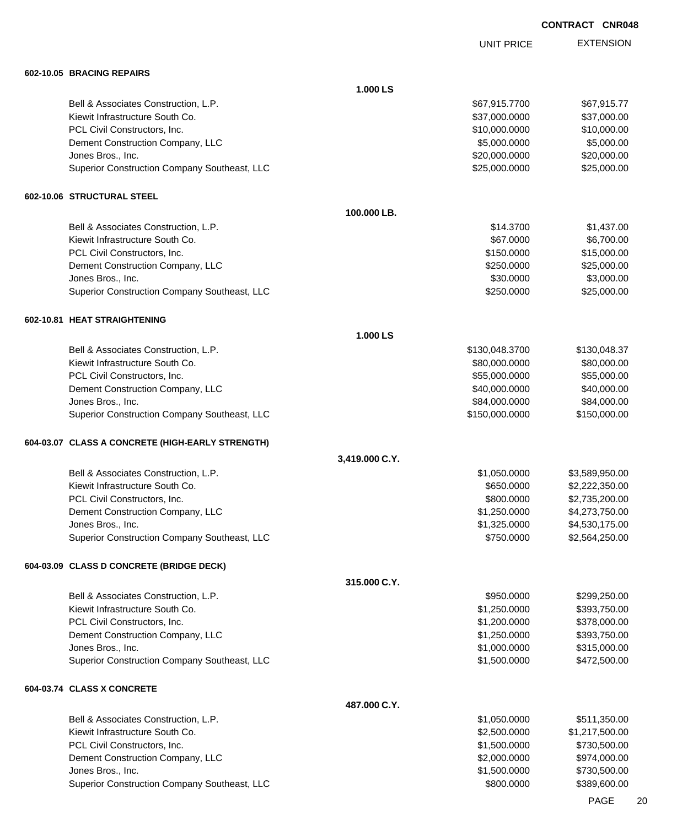|                                                                         |                | <b>UNIT PRICE</b>            | <b>EXTENSION</b>             |
|-------------------------------------------------------------------------|----------------|------------------------------|------------------------------|
| 602-10.05 BRACING REPAIRS                                               |                |                              |                              |
|                                                                         | 1.000 LS       |                              |                              |
| Bell & Associates Construction, L.P.                                    |                | \$67,915.7700                | \$67,915.77                  |
| Kiewit Infrastructure South Co.                                         |                | \$37,000.0000                | \$37,000.00                  |
| PCL Civil Constructors, Inc.                                            |                | \$10,000.0000                | \$10,000.00                  |
| Dement Construction Company, LLC                                        |                | \$5,000.0000                 | \$5,000.00                   |
| Jones Bros., Inc.                                                       |                | \$20,000.0000                | \$20,000.00                  |
| Superior Construction Company Southeast, LLC                            |                | \$25,000.0000                | \$25,000.00                  |
| 602-10.06 STRUCTURAL STEEL                                              |                |                              |                              |
|                                                                         | 100.000 LB.    |                              |                              |
| Bell & Associates Construction, L.P.                                    |                | \$14.3700                    | \$1,437.00                   |
| Kiewit Infrastructure South Co.                                         |                | \$67.0000                    | \$6,700.00                   |
| PCL Civil Constructors, Inc.                                            |                | \$150.0000                   | \$15,000.00                  |
| Dement Construction Company, LLC                                        |                | \$250.0000                   | \$25,000.00                  |
| Jones Bros., Inc.                                                       |                | \$30.0000                    | \$3,000.00                   |
| Superior Construction Company Southeast, LLC                            |                | \$250.0000                   | \$25,000.00                  |
| 602-10.81 HEAT STRAIGHTENING                                            |                |                              |                              |
|                                                                         | 1.000 LS       |                              |                              |
| Bell & Associates Construction, L.P.                                    |                | \$130,048.3700               | \$130,048.37                 |
| Kiewit Infrastructure South Co.                                         |                | \$80,000.0000                | \$80,000.00                  |
| PCL Civil Constructors, Inc.                                            |                | \$55,000.0000                | \$55,000.00                  |
| Dement Construction Company, LLC                                        |                | \$40,000.0000                | \$40,000.00                  |
| Jones Bros., Inc.                                                       |                | \$84,000.0000                | \$84,000.00                  |
| Superior Construction Company Southeast, LLC                            |                | \$150,000.0000               | \$150,000.00                 |
| 604-03.07 CLASS A CONCRETE (HIGH-EARLY STRENGTH)                        |                |                              |                              |
|                                                                         | 3,419.000 C.Y. |                              |                              |
| Bell & Associates Construction, L.P.                                    |                | \$1,050.0000                 | \$3,589,950.00               |
| Kiewit Infrastructure South Co.                                         |                | \$650.0000                   | \$2,222,350.00               |
| PCL Civil Constructors, Inc.                                            |                | \$800.0000                   | \$2,735,200.00               |
| Dement Construction Company, LLC                                        |                | \$1,250.0000                 | \$4,273,750.00               |
| Jones Bros., Inc.                                                       |                | \$1,325.0000<br>\$750.0000   | \$4,530,175.00               |
| Superior Construction Company Southeast, LLC                            |                |                              | \$2,564,250.00               |
| 604-03.09 CLASS D CONCRETE (BRIDGE DECK)                                |                |                              |                              |
|                                                                         | 315.000 C.Y.   |                              |                              |
| Bell & Associates Construction, L.P.                                    |                | \$950.0000                   | \$299,250.00                 |
| Kiewit Infrastructure South Co.                                         |                | \$1,250.0000                 | \$393,750.00                 |
| PCL Civil Constructors, Inc.                                            |                | \$1,200.0000                 | \$378,000.00                 |
| Dement Construction Company, LLC                                        |                | \$1,250.0000                 | \$393,750.00                 |
| Jones Bros., Inc.<br>Superior Construction Company Southeast, LLC       |                | \$1,000.0000<br>\$1,500.0000 | \$315,000.00<br>\$472,500.00 |
|                                                                         |                |                              |                              |
| 604-03.74 CLASS X CONCRETE                                              |                |                              |                              |
|                                                                         | 487.000 C.Y.   |                              |                              |
| Bell & Associates Construction, L.P.<br>Kiewit Infrastructure South Co. |                | \$1,050.0000                 | \$511,350.00                 |
|                                                                         |                | \$2,500.0000                 | \$1,217,500.00               |
| PCL Civil Constructors, Inc.                                            |                | \$1,500.0000                 | \$730,500.00                 |
| Dement Construction Company, LLC                                        |                | \$2,000.0000                 | \$974,000.00                 |
| Jones Bros., Inc.<br>Superior Construction Company Southeast, LLC       |                | \$1,500.0000<br>\$800.0000   | \$730,500.00<br>\$389,600.00 |
|                                                                         |                |                              |                              |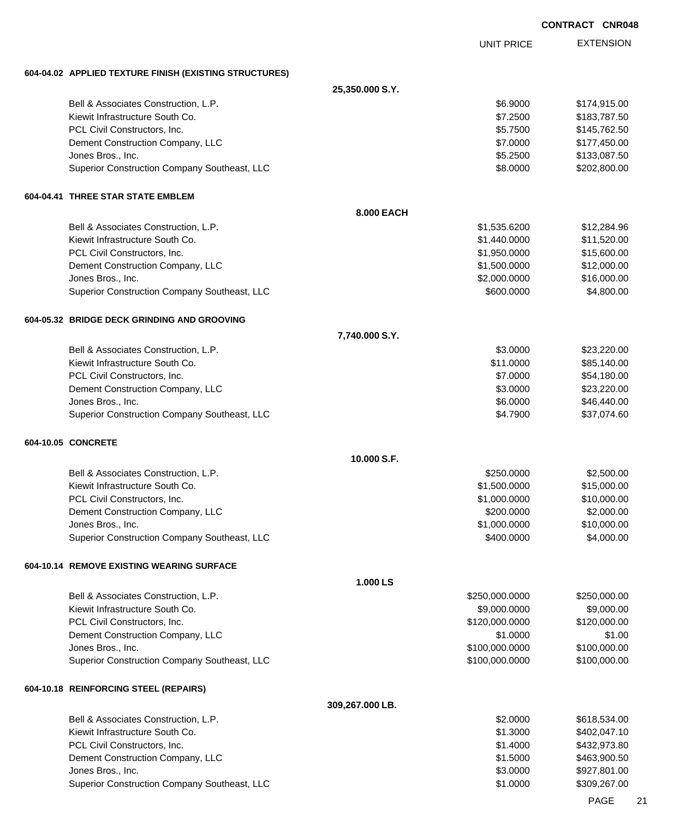|                                                        |                 |                      | <b>CONTRACT CNR048</b> |                            |
|--------------------------------------------------------|-----------------|----------------------|------------------------|----------------------------|
|                                                        |                 | <b>UNIT PRICE</b>    |                        | <b>EXTENSION</b>           |
| 604-04.02 APPLIED TEXTURE FINISH (EXISTING STRUCTURES) |                 |                      |                        |                            |
|                                                        | 25,350.000 S.Y. |                      |                        |                            |
| Bell & Associates Construction, L.P.                   |                 | \$6.9000             |                        | \$174,915.00               |
| Kiewit Infrastructure South Co.                        |                 | \$7.2500             |                        | \$183,787.50               |
| PCL Civil Constructors, Inc.                           |                 | \$5.7500             |                        | \$145,762.50               |
| Dement Construction Company, LLC                       |                 | \$7.0000             |                        | \$177,450.00               |
| Jones Bros., Inc.                                      |                 | \$5.2500             |                        | \$133,087.50               |
| Superior Construction Company Southeast, LLC           |                 | \$8.0000             |                        | \$202,800.00               |
| 604-04.41 THREE STAR STATE EMBLEM                      |                 |                      |                        |                            |
|                                                        | 8.000 EACH      |                      |                        |                            |
| Bell & Associates Construction, L.P.                   |                 | \$1,535.6200         |                        | \$12,284.96                |
| Kiewit Infrastructure South Co.                        |                 | \$1,440.0000         |                        | \$11,520.00                |
| PCL Civil Constructors, Inc.                           |                 | \$1,950.0000         |                        | \$15,600.00                |
| Dement Construction Company, LLC                       |                 | \$1,500.0000         |                        | \$12,000.00                |
| Jones Bros., Inc.                                      |                 | \$2,000.0000         |                        | \$16,000.00                |
| Superior Construction Company Southeast, LLC           |                 | \$600.0000           |                        | \$4,800.00                 |
| 604-05.32 BRIDGE DECK GRINDING AND GROOVING            |                 |                      |                        |                            |
|                                                        | 7,740.000 S.Y.  |                      |                        |                            |
| Bell & Associates Construction, L.P.                   |                 | \$3.0000             |                        | \$23,220.00                |
| Kiewit Infrastructure South Co.                        |                 | \$11.0000            |                        | \$85,140.00                |
| PCL Civil Constructors, Inc.                           |                 | \$7.0000             |                        | \$54,180.00                |
| Dement Construction Company, LLC<br>Jones Bros., Inc.  |                 | \$3.0000<br>\$6.0000 |                        | \$23,220.00<br>\$46,440.00 |
| Superior Construction Company Southeast, LLC           |                 | \$4.7900             |                        | \$37,074.60                |
| 604-10.05 CONCRETE                                     |                 |                      |                        |                            |
|                                                        | 10.000 S.F.     |                      |                        |                            |
| Bell & Associates Construction, L.P.                   |                 | \$250.0000           |                        | \$2,500.00                 |
| Kiewit Infrastructure South Co.                        |                 | \$1,500.0000         |                        | \$15,000.00                |
| PCL Civil Constructors, Inc.                           |                 | \$1,000.0000         |                        | \$10,000.00                |
| Dement Construction Company, LLC                       |                 | \$200.0000           |                        | \$2,000.00                 |
| Jones Bros., Inc.                                      |                 | \$1,000.0000         |                        | \$10,000.00                |
| Superior Construction Company Southeast, LLC           |                 | \$400.0000           |                        | \$4,000.00                 |
| 604-10.14 REMOVE EXISTING WEARING SURFACE              |                 |                      |                        |                            |
|                                                        | 1.000 LS        |                      |                        |                            |
| Bell & Associates Construction, L.P.                   |                 | \$250,000.0000       |                        | \$250,000.00               |
| Kiewit Infrastructure South Co.                        |                 | \$9,000.0000         |                        | \$9,000.00                 |
| PCL Civil Constructors, Inc.                           |                 | \$120,000.0000       |                        | \$120,000.00               |
| Dement Construction Company, LLC                       |                 | \$1.0000             |                        | \$1.00                     |
| Jones Bros., Inc.                                      |                 | \$100,000.0000       |                        | \$100,000.00               |
| Superior Construction Company Southeast, LLC           |                 | \$100,000.0000       |                        | \$100,000.00               |
| 604-10.18 REINFORCING STEEL (REPAIRS)                  |                 |                      |                        |                            |
|                                                        | 309,267.000 LB. |                      |                        |                            |
| Bell & Associates Construction, L.P.                   |                 | \$2.0000             |                        | \$618,534.00               |
| Kiewit Infrastructure South Co.                        |                 | \$1.3000             |                        | \$402,047.10               |
| PCL Civil Constructors, Inc.                           |                 | \$1.4000             |                        | \$432,973.80               |
| Dement Construction Company, LLC                       |                 | \$1.5000             |                        | \$463,900.50               |
| Jones Bros., Inc.                                      |                 | \$3.0000             |                        | \$927,801.00               |
| Superior Construction Company Southeast, LLC           |                 | \$1.0000             |                        | \$309,267.00               |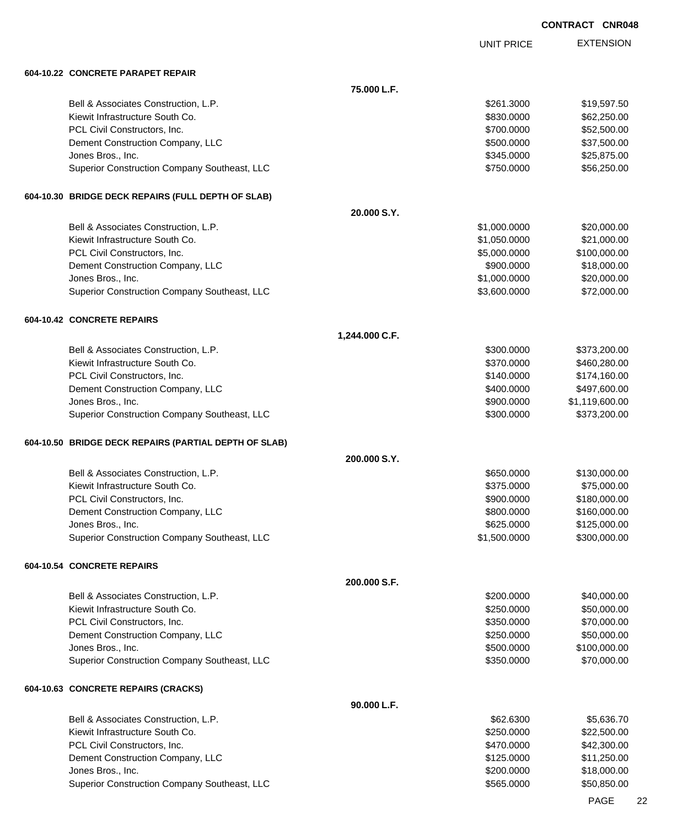UNIT PRICE

| 604-10.22 CONCRETE PARAPET REPAIR |
|-----------------------------------|
|                                   |

| 604-10.22 CONCRETE PARAPET REPAIR                                 |                |                              |                            |
|-------------------------------------------------------------------|----------------|------------------------------|----------------------------|
|                                                                   | 75.000 L.F.    |                              |                            |
| Bell & Associates Construction, L.P.                              |                | \$261.3000                   | \$19,597.50                |
| Kiewit Infrastructure South Co.                                   |                | \$830.0000                   | \$62,250.00                |
| PCL Civil Constructors, Inc.                                      |                | \$700,0000                   | \$52,500.00                |
| Dement Construction Company, LLC                                  |                | \$500.0000                   | \$37,500.00                |
| Jones Bros., Inc.                                                 |                | \$345.0000                   | \$25,875.00                |
| Superior Construction Company Southeast, LLC                      |                | \$750.0000                   | \$56,250.00                |
|                                                                   |                |                              |                            |
| 604-10.30 BRIDGE DECK REPAIRS (FULL DEPTH OF SLAB)                |                |                              |                            |
|                                                                   | 20.000 S.Y.    |                              |                            |
| Bell & Associates Construction, L.P.                              |                | \$1,000.0000                 | \$20,000.00                |
| Kiewit Infrastructure South Co.                                   |                | \$1,050.0000                 | \$21,000.00                |
| PCL Civil Constructors, Inc.                                      |                | \$5,000.0000                 | \$100,000.00               |
| Dement Construction Company, LLC                                  |                | \$900.0000                   | \$18,000.00                |
| Jones Bros., Inc.<br>Superior Construction Company Southeast, LLC |                | \$1,000.0000<br>\$3,600.0000 | \$20,000.00<br>\$72,000.00 |
|                                                                   |                |                              |                            |
| 604-10.42 CONCRETE REPAIRS                                        |                |                              |                            |
|                                                                   | 1,244.000 C.F. |                              |                            |
| Bell & Associates Construction, L.P.                              |                | \$300.0000                   | \$373,200.00               |
| Kiewit Infrastructure South Co.                                   |                | \$370.0000                   | \$460,280.00               |
| PCL Civil Constructors, Inc.                                      |                | \$140.0000                   | \$174,160.00               |
| Dement Construction Company, LLC                                  |                | \$400.0000                   | \$497,600.00               |
| Jones Bros., Inc.                                                 |                | \$900.0000                   | \$1,119,600.00             |
| Superior Construction Company Southeast, LLC                      |                | \$300.0000                   | \$373,200.00               |
| 604-10.50 BRIDGE DECK REPAIRS (PARTIAL DEPTH OF SLAB)             |                |                              |                            |
|                                                                   | 200.000 S.Y.   |                              |                            |
| Bell & Associates Construction, L.P.                              |                | \$650.0000                   | \$130,000.00               |
| Kiewit Infrastructure South Co.                                   |                | \$375.0000                   | \$75,000.00                |
| PCL Civil Constructors, Inc.                                      |                | \$900.0000                   | \$180,000.00               |
| Dement Construction Company, LLC                                  |                | \$800.0000                   | \$160,000.00               |
| Jones Bros., Inc.                                                 |                | \$625.0000                   | \$125,000.00               |
| Superior Construction Company Southeast, LLC                      |                | \$1,500.0000                 | \$300,000.00               |
| 604-10.54 CONCRETE REPAIRS                                        |                |                              |                            |
|                                                                   |                |                              |                            |
|                                                                   | 200,000 S.F.   |                              |                            |
| Bell & Associates Construction, L.P.                              |                | \$200.0000                   | \$40,000.00                |
| Kiewit Infrastructure South Co.                                   |                | \$250.0000                   | \$50,000.00                |
| PCL Civil Constructors, Inc.                                      |                | \$350.0000                   | \$70,000.00                |
| Dement Construction Company, LLC                                  |                | \$250.0000                   | \$50,000.00                |
| Jones Bros., Inc.                                                 |                | \$500.0000                   | \$100,000.00               |
| Superior Construction Company Southeast, LLC                      |                | \$350.0000                   | \$70,000.00                |
| 604-10.63 CONCRETE REPAIRS (CRACKS)                               |                |                              |                            |
|                                                                   | 90.000 L.F.    |                              |                            |
| Bell & Associates Construction, L.P.                              |                | \$62.6300                    | \$5,636.70                 |
| Kiewit Infrastructure South Co.                                   |                | \$250.0000                   | \$22,500.00                |
| PCL Civil Constructors, Inc.                                      |                | \$470.0000                   | \$42,300.00                |
| Dement Construction Company, LLC                                  |                | \$125.0000                   | \$11,250.00                |
| Jones Bros., Inc.                                                 |                | \$200.0000                   | \$18,000.00                |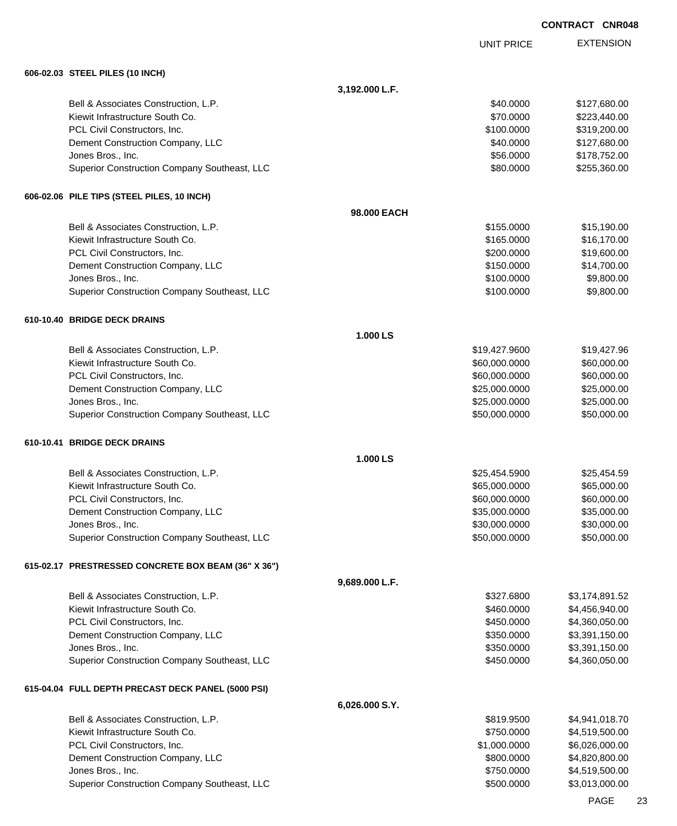UNIT PRICE

|  |  | 606-02.03 STEEL PILES (10 INCH) |  |
|--|--|---------------------------------|--|
|--|--|---------------------------------|--|

| 606-02.03 SIEEL PILES (10 INCH)                     |                |               |                |
|-----------------------------------------------------|----------------|---------------|----------------|
|                                                     | 3,192.000 L.F. |               |                |
| Bell & Associates Construction, L.P.                |                | \$40.0000     | \$127,680.00   |
| Kiewit Infrastructure South Co.                     |                | \$70.0000     | \$223,440.00   |
| PCL Civil Constructors, Inc.                        |                | \$100.0000    | \$319,200.00   |
| Dement Construction Company, LLC                    |                | \$40.0000     | \$127,680.00   |
| Jones Bros., Inc.                                   |                | \$56.0000     | \$178,752.00   |
| Superior Construction Company Southeast, LLC        |                | \$80.0000     | \$255,360.00   |
|                                                     |                |               |                |
| 606-02.06 PILE TIPS (STEEL PILES, 10 INCH)          |                |               |                |
|                                                     | 98.000 EACH    |               |                |
| Bell & Associates Construction, L.P.                |                | \$155.0000    | \$15,190.00    |
| Kiewit Infrastructure South Co.                     |                | \$165.0000    | \$16,170.00    |
| PCL Civil Constructors, Inc.                        |                | \$200.0000    | \$19,600.00    |
| Dement Construction Company, LLC                    |                | \$150.0000    | \$14,700.00    |
| Jones Bros., Inc.                                   |                | \$100.0000    | \$9,800.00     |
| Superior Construction Company Southeast, LLC        |                | \$100.0000    | \$9,800.00     |
| 610-10.40 BRIDGE DECK DRAINS                        |                |               |                |
|                                                     | 1.000 LS       |               |                |
| Bell & Associates Construction, L.P.                |                | \$19,427.9600 | \$19,427.96    |
| Kiewit Infrastructure South Co.                     |                | \$60,000.0000 | \$60,000.00    |
| PCL Civil Constructors, Inc.                        |                | \$60,000.0000 | \$60,000.00    |
| Dement Construction Company, LLC                    |                | \$25,000.0000 | \$25,000.00    |
| Jones Bros., Inc.                                   |                | \$25,000.0000 | \$25,000.00    |
| Superior Construction Company Southeast, LLC        |                | \$50,000.0000 | \$50,000.00    |
| 610-10.41 BRIDGE DECK DRAINS                        |                |               |                |
|                                                     | 1.000 LS       |               |                |
| Bell & Associates Construction, L.P.                |                | \$25,454.5900 | \$25,454.59    |
| Kiewit Infrastructure South Co.                     |                | \$65,000.0000 | \$65,000.00    |
| PCL Civil Constructors, Inc.                        |                | \$60,000.0000 | \$60,000.00    |
| Dement Construction Company, LLC                    |                | \$35,000.0000 | \$35,000.00    |
| Jones Bros., Inc.                                   |                | \$30,000.0000 | \$30,000.00    |
| Superior Construction Company Southeast, LLC        |                | \$50,000.0000 | \$50,000.00    |
| 615-02.17 PRESTRESSED CONCRETE BOX BEAM (36" X 36") |                |               |                |
|                                                     | 9,689.000 L.F. |               |                |
| Bell & Associates Construction, L.P.                |                | \$327.6800    | \$3,174,891.52 |
| Kiewit Infrastructure South Co.                     |                | \$460.0000    | \$4,456,940.00 |
| PCL Civil Constructors, Inc.                        |                | \$450.0000    | \$4,360,050.00 |
| Dement Construction Company, LLC                    |                | \$350.0000    | \$3,391,150.00 |
| Jones Bros., Inc.                                   |                | \$350.0000    | \$3,391,150.00 |
| Superior Construction Company Southeast, LLC        |                | \$450.0000    | \$4,360,050.00 |
| 615-04.04 FULL DEPTH PRECAST DECK PANEL (5000 PSI)  |                |               |                |
|                                                     | 6,026.000 S.Y. |               |                |
| Bell & Associates Construction, L.P.                |                | \$819.9500    | \$4,941,018.70 |
| Kiewit Infrastructure South Co.                     |                | \$750.0000    | \$4,519,500.00 |
| PCL Civil Constructors, Inc.                        |                | \$1,000.0000  | \$6,026,000.00 |
|                                                     |                |               |                |
| Dement Construction Company, LLC                    |                | \$800.0000    | \$4,820,800.00 |
| Jones Bros., Inc.                                   |                | \$750.0000    | \$4,519,500.00 |
| Superior Construction Company Southeast, LLC        |                | \$500.0000    | \$3,013,000.00 |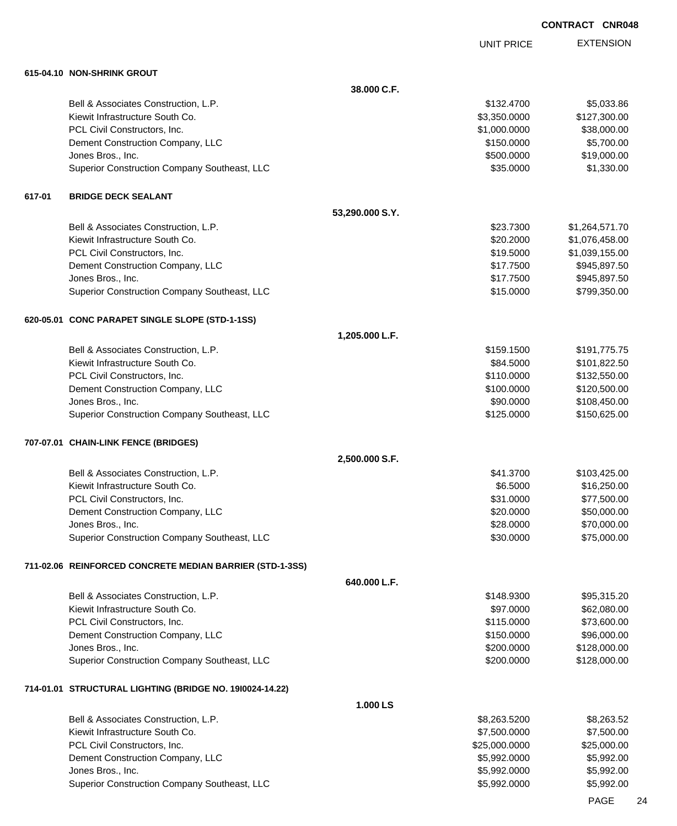UNIT PRICE

|        | 615-04.10 NON-SHRINK GROUT                               |                 |               |                |
|--------|----------------------------------------------------------|-----------------|---------------|----------------|
|        |                                                          | 38.000 C.F.     |               |                |
|        | Bell & Associates Construction, L.P.                     |                 | \$132.4700    | \$5,033.86     |
|        | Kiewit Infrastructure South Co.                          |                 | \$3,350.0000  | \$127,300.00   |
|        | PCL Civil Constructors, Inc.                             |                 | \$1,000.0000  | \$38,000.00    |
|        | Dement Construction Company, LLC                         |                 | \$150.0000    | \$5,700.00     |
|        | Jones Bros., Inc.                                        |                 | \$500.0000    | \$19,000.00    |
|        | Superior Construction Company Southeast, LLC             |                 | \$35.0000     | \$1,330.00     |
| 617-01 | <b>BRIDGE DECK SEALANT</b>                               |                 |               |                |
|        |                                                          | 53,290.000 S.Y. |               |                |
|        | Bell & Associates Construction, L.P.                     |                 | \$23.7300     | \$1,264,571.70 |
|        | Kiewit Infrastructure South Co.                          |                 | \$20.2000     | \$1,076,458.00 |
|        | PCL Civil Constructors, Inc.                             |                 | \$19.5000     | \$1,039,155.00 |
|        | Dement Construction Company, LLC                         |                 | \$17.7500     | \$945,897.50   |
|        | Jones Bros., Inc.                                        |                 | \$17.7500     | \$945,897.50   |
|        | Superior Construction Company Southeast, LLC             |                 | \$15.0000     | \$799,350.00   |
|        | 620-05.01 CONC PARAPET SINGLE SLOPE (STD-1-1SS)          |                 |               |                |
|        |                                                          | 1,205.000 L.F.  |               |                |
|        | Bell & Associates Construction, L.P.                     |                 | \$159.1500    | \$191,775.75   |
|        | Kiewit Infrastructure South Co.                          |                 | \$84.5000     | \$101,822.50   |
|        | PCL Civil Constructors, Inc.                             |                 | \$110.0000    | \$132,550.00   |
|        | Dement Construction Company, LLC                         |                 | \$100.0000    | \$120,500.00   |
|        | Jones Bros., Inc.                                        |                 | \$90.0000     | \$108,450.00   |
|        | Superior Construction Company Southeast, LLC             |                 | \$125.0000    | \$150,625.00   |
|        | 707-07.01 CHAIN-LINK FENCE (BRIDGES)                     |                 |               |                |
|        |                                                          | 2,500.000 S.F.  |               |                |
|        | Bell & Associates Construction, L.P.                     |                 | \$41.3700     | \$103,425.00   |
|        | Kiewit Infrastructure South Co.                          |                 | \$6.5000      | \$16,250.00    |
|        | PCL Civil Constructors, Inc.                             |                 | \$31.0000     | \$77,500.00    |
|        | Dement Construction Company, LLC                         |                 | \$20.0000     | \$50,000.00    |
|        | Jones Bros., Inc.                                        |                 | \$28.0000     | \$70,000.00    |
|        | Superior Construction Company Southeast, LLC             |                 | \$30.0000     | \$75,000.00    |
|        | 711-02.06 REINFORCED CONCRETE MEDIAN BARRIER (STD-1-3SS) |                 |               |                |
|        |                                                          | 640.000 L.F.    |               |                |
|        | Bell & Associates Construction, L.P.                     |                 | \$148.9300    | \$95,315.20    |
|        | Kiewit Infrastructure South Co.                          |                 | \$97.0000     | \$62,080.00    |
|        | PCL Civil Constructors, Inc.                             |                 | \$115.0000    | \$73,600.00    |
|        | Dement Construction Company, LLC                         |                 | \$150.0000    | \$96,000.00    |
|        | Jones Bros., Inc.                                        |                 | \$200.0000    | \$128,000.00   |
|        | Superior Construction Company Southeast, LLC             |                 | \$200.0000    | \$128,000.00   |
|        | 714-01.01 STRUCTURAL LIGHTING (BRIDGE NO. 1910024-14.22) |                 |               |                |
|        |                                                          | 1.000 LS        |               |                |
|        | Bell & Associates Construction, L.P.                     |                 | \$8,263.5200  | \$8,263.52     |
|        | Kiewit Infrastructure South Co.                          |                 | \$7,500.0000  | \$7,500.00     |
|        | PCL Civil Constructors, Inc.                             |                 | \$25,000.0000 | \$25,000.00    |
|        | Dement Construction Company, LLC                         |                 | \$5,992.0000  | \$5,992.00     |
|        | Jones Bros., Inc.                                        |                 | \$5,992.0000  | \$5,992.00     |
|        | Superior Construction Company Southeast, LLC             |                 | \$5,992.0000  | \$5,992.00     |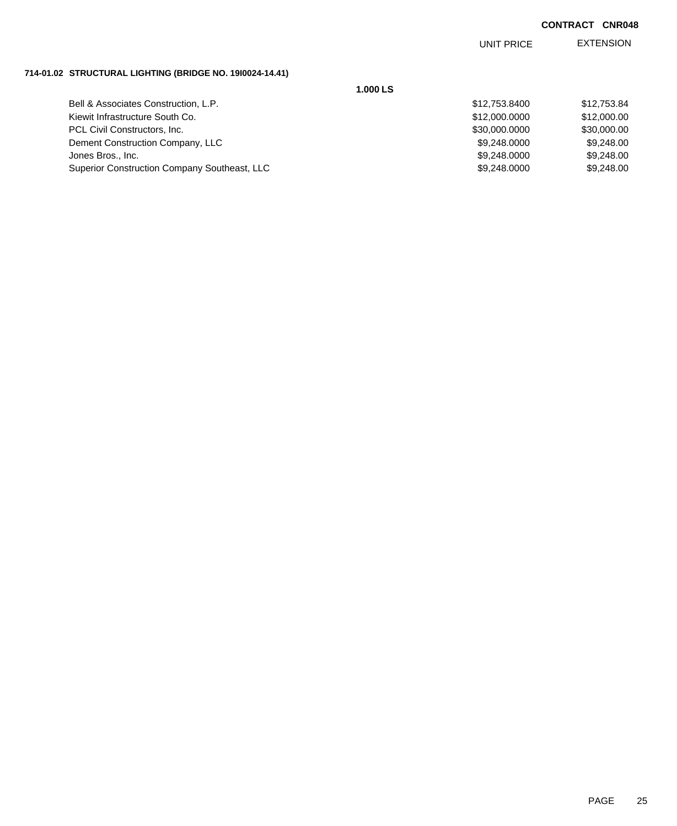EXTENSION UNIT PRICE

#### **714-01.02 STRUCTURAL LIGHTING (BRIDGE NO. 19I0024-14.41)**

| 1.000 LS                                     |               |             |
|----------------------------------------------|---------------|-------------|
| Bell & Associates Construction, L.P.         | \$12,753.8400 | \$12,753.84 |
| Kiewit Infrastructure South Co.              | \$12,000.0000 | \$12,000.00 |
| PCL Civil Constructors, Inc.                 | \$30,000.0000 | \$30,000.00 |
| Dement Construction Company, LLC             | \$9,248,0000  | \$9,248.00  |
| Jones Bros., Inc.                            | \$9,248.0000  | \$9,248.00  |
| Superior Construction Company Southeast, LLC | \$9,248.0000  | \$9,248.00  |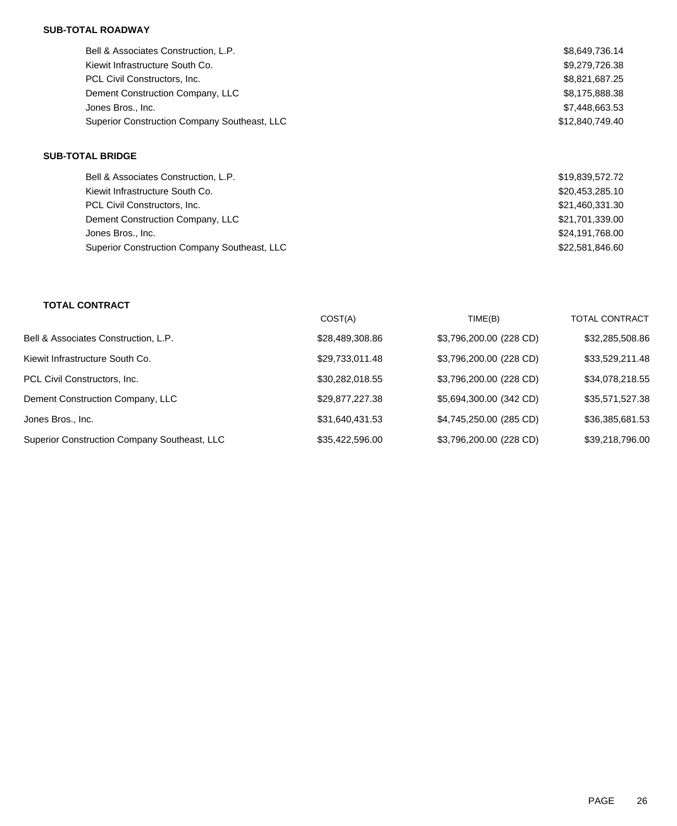#### **SUB-TOTAL ROADWAY**

| Bell & Associates Construction, L.P.         | \$8,649,736.14  |
|----------------------------------------------|-----------------|
| Kiewit Infrastructure South Co.              | \$9,279,726.38  |
| PCL Civil Constructors, Inc.                 | \$8,821,687.25  |
| Dement Construction Company, LLC             | \$8,175,888.38  |
| Jones Bros., Inc.                            | \$7,448,663.53  |
| Superior Construction Company Southeast, LLC | \$12.840.749.40 |
|                                              |                 |

## **SUB-TOTAL BRIDGE**

| Bell & Associates Construction, L.P.         | \$19,839,572.72 |
|----------------------------------------------|-----------------|
| Kiewit Infrastructure South Co.              | \$20,453,285.10 |
| PCL Civil Constructors, Inc.                 | \$21,460,331.30 |
| Dement Construction Company, LLC             | \$21,701,339.00 |
| Jones Bros., Inc.                            | \$24,191,768.00 |
| Superior Construction Company Southeast, LLC | \$22,581,846.60 |

## **TOTAL CONTRACT**

|                                              | COST(A)         | TIME(B)                 | <b>TOTAL CONTRACT</b> |
|----------------------------------------------|-----------------|-------------------------|-----------------------|
| Bell & Associates Construction, L.P.         | \$28,489,308.86 | \$3,796,200.00 (228 CD) | \$32,285,508.86       |
| Kiewit Infrastructure South Co.              | \$29,733,011.48 | \$3,796,200.00 (228 CD) | \$33,529,211.48       |
| PCL Civil Constructors, Inc.                 | \$30,282,018.55 | \$3,796,200.00 (228 CD) | \$34,078,218.55       |
| Dement Construction Company, LLC             | \$29,877,227.38 | \$5,694,300.00 (342 CD) | \$35,571,527.38       |
| Jones Bros., Inc.                            | \$31,640,431.53 | \$4,745,250.00 (285 CD) | \$36,385,681.53       |
| Superior Construction Company Southeast, LLC | \$35,422,596.00 | \$3,796,200.00 (228 CD) | \$39,218,796.00       |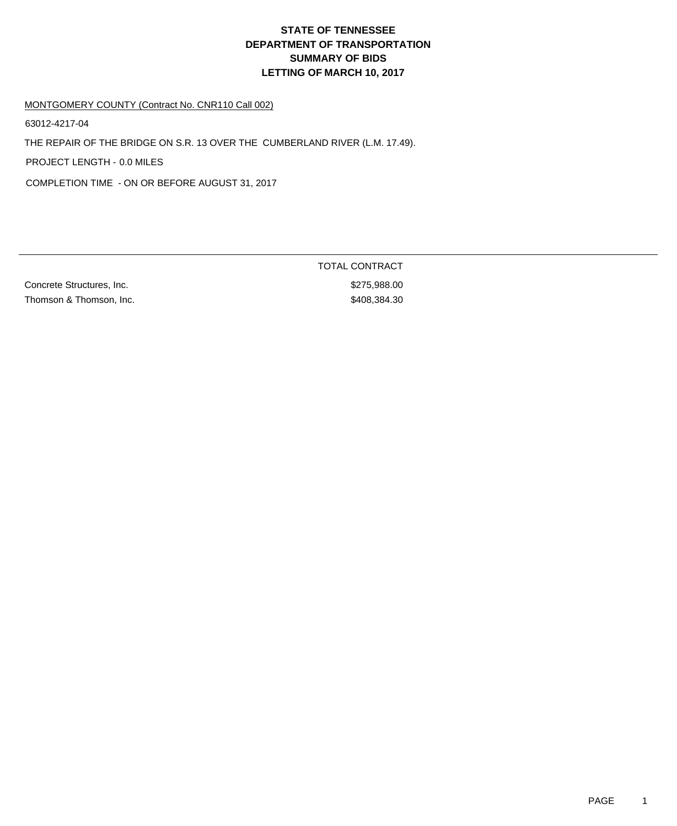# **DEPARTMENT OF TRANSPORTATION SUMMARY OF BIDS LETTING OF MARCH 10, 2017 STATE OF TENNESSEE**

#### MONTGOMERY COUNTY (Contract No. CNR110 Call 002)

63012-4217-04

THE REPAIR OF THE BRIDGE ON S.R. 13 OVER THE CUMBERLAND RIVER (L.M. 17.49).

PROJECT LENGTH - 0.0 MILES

COMPLETION TIME - ON OR BEFORE AUGUST 31, 2017

Concrete Structures, Inc.  $$275,988.00$ Thomson & Thomson, Inc. 6. Thomson & Thomson, Inc. 6. Thomson & Thomson, Inc. 6. Thomson & Thomson, Inc. 6. Thomson & Thomson, Inc. 6. Thomson & Thomson, Inc. 6. The Supervison of the Supervison of the Supervison of the Su

TOTAL CONTRACT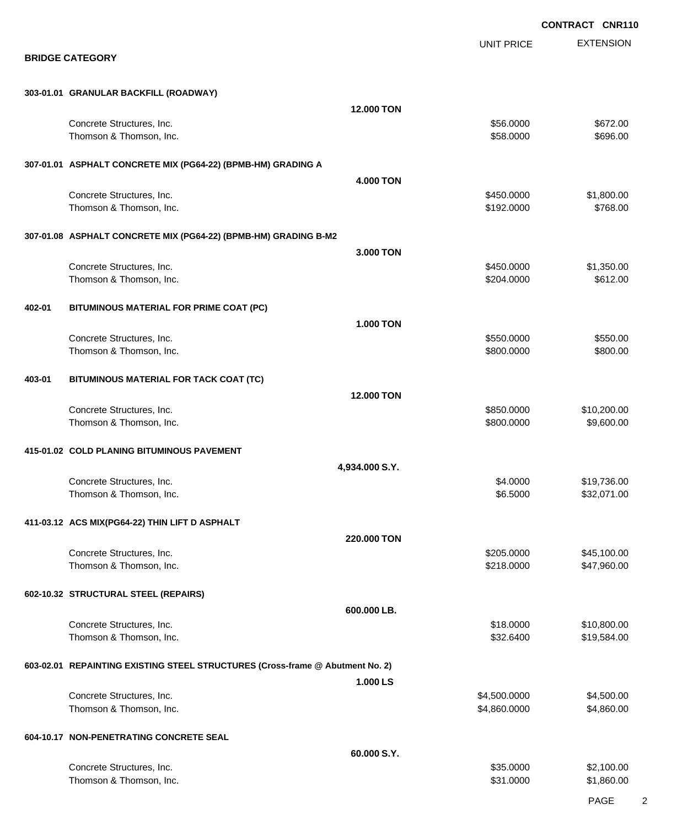EXTENSION **CONTRACT CNR110** UNIT PRICE **BRIDGE CATEGORY 303-01.01 GRANULAR BACKFILL (ROADWAY) 12.000 TON** Concrete Structures, Inc. 6672.00 Thomson & Thomson, Inc. 6. The Contract of the Contract of the Contract of the Contract of the Second Seconds of the Seconds of the Seconds of the Seconds of the Seconds of the Seconds of the Seconds of the Seconds of the **307-01.01 ASPHALT CONCRETE MIX (PG64-22) (BPMB-HM) GRADING A 4.000 TON** Concrete Structures, Inc. 6. The Concrete Structures, Inc. 6. The Concrete Structures, Inc. 6. The Concrete Structures, Inc. 6. The Concrete Structures, Inc. 6. The Concrete Structures, Inc. 6. The Concrete Structures, Inc Thomson & Thomson, Inc. 6. The Contract of the Contract of the Contract of the Contract of the Contract of the Contract of the Contract of the Contract of the Contract of the Contract of the Contract of the Contract of the **307-01.08 ASPHALT CONCRETE MIX (PG64-22) (BPMB-HM) GRADING B-M2 3.000 TON** Concrete Structures, Inc. 6. The Concrete Structures, Inc. 6. The Concrete Structures, Inc. 6. The Concrete Structures, Inc. 6. The Concrete Structures, Inc. 6. The Concrete Structures, Inc. 6. The Concrete Structures, Inc Thomson & Thomson, Inc. 6612.00 **402-01 BITUMINOUS MATERIAL FOR PRIME COAT (PC) 1.000 TON** Concrete Structures, Inc. 6. The Structures of the Structures of the Structures, Inc. 6. The Structures of the Structures of the Structures of the Structures of the Structures of the Structures of the Structures of the Str Thomson & Thomson, Inc. 66 (1992) 12:00:000 \$800.000 \$800.000 \$800.000 \$800.000 \$800.00 **403-01 BITUMINOUS MATERIAL FOR TACK COAT (TC) 12.000 TON** Concrete Structures, Inc. 6. The Concrete Structures, Inc. 6. The Concrete Structures, Inc. 6. The Concrete Structures, Inc. 6. The Concrete Structures, Inc. 6. The Concrete Structures, Inc. 6. The Concrete Structures, Inc Thomson & Thomson, Inc. 6. The matrix of the state of the state of the state of the state of the state of the state of the state of the state of the state of the state of the state of the state of the state of the state of **415-01.02 COLD PLANING BITUMINOUS PAVEMENT 4,934.000 S.Y.** Concrete Structures, Inc. 6. The Concrete Structures, Inc. 6. The Structures of the Structures, Inc. 6.19,736.00 Thomson & Thomson, Inc. 6. The matrix of the state of the state of the state of the state of the state of the state of the state of the state of the state of the state of the state of the state of the state of the state of **411-03.12 ACS MIX(PG64-22) THIN LIFT D ASPHALT 220.000 TON** Concrete Structures, Inc. 645,100.00 \$45,100.00 Thomson & Thomson, Inc. 6. The matrix of the state of the state of the state of the state of the state of the state of the state of the state of the state of the state of the state of the state of the state of the state of **602-10.32 STRUCTURAL STEEL (REPAIRS) 600.000 LB.** Concrete Structures, Inc. 6. The Concrete Structures, Inc. 6. The Concrete Structures, Inc. 6. The Concrete Structures, Inc. 6. The Concrete Structures, Inc. 6. The Concrete Structures, Inc. 6. The Concrete Structures, Inc Thomson & Thomson, Inc. 6. The state of the state of the state of the state of the state of the state of the state of the state of the state of the state of the state of the state of the state of the state of the state of **603-02.01 REPAINTING EXISTING STEEL STRUCTURES (Cross-frame @ Abutment No. 2) 1.000 LS** Concrete Structures, Inc. 66 and the Concrete Structures, Inc. 66 and the Concrete Structures, Inc. 64,500.000 \$4,500.00 Thomson & Thomson, Inc. 6. The matrix of the state of the state of the state of the state of the state of the state of the state of the state of the state of the state of the state of the state of the state of the state of **604-10.17 NON-PENETRATING CONCRETE SEAL 60.000 S.Y.** Concrete Structures, Inc. 6. The Concrete Structures, Inc. 6. The Concrete Structures, Inc. 6. The Concrete Structures, Inc. 6. The Concrete Structures, Inc. 6. The Concrete Structures, Inc. 6. The Concrete Structures, Inc Thomson & Thomson, Inc. 6. Thomson, Inc. 6. Thomson & Thomson, Inc. 6. Thomson & Thomson, Inc. 6. Thomson, Inc.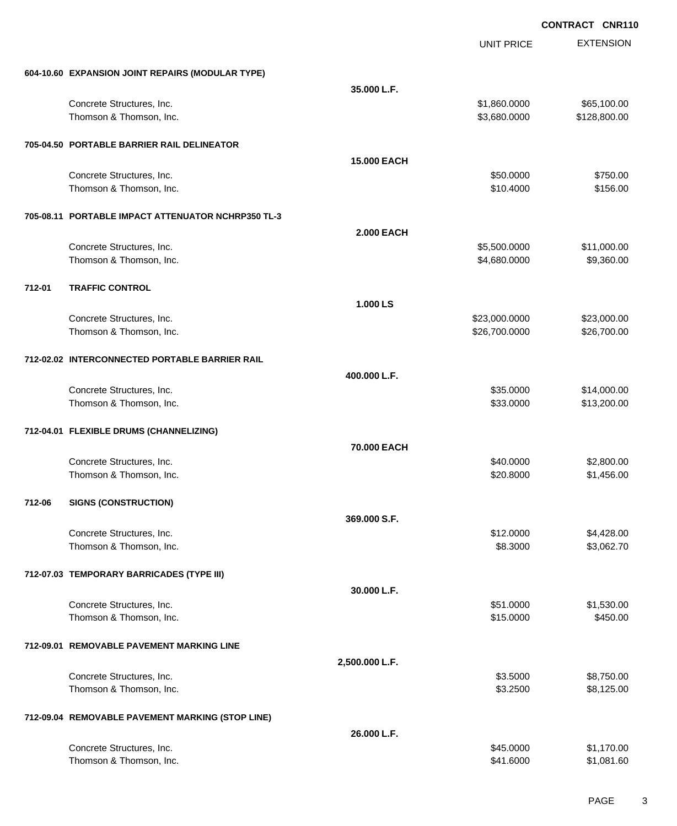|        |                                                    |                    | <b>UNIT PRICE</b> | <b>EXTENSION</b> |
|--------|----------------------------------------------------|--------------------|-------------------|------------------|
|        | 604-10.60 EXPANSION JOINT REPAIRS (MODULAR TYPE)   |                    |                   |                  |
|        |                                                    | 35.000 L.F.        |                   |                  |
|        | Concrete Structures, Inc.                          |                    | \$1,860.0000      | \$65,100.00      |
|        | Thomson & Thomson, Inc.                            |                    | \$3,680.0000      | \$128,800.00     |
|        | 705-04.50 PORTABLE BARRIER RAIL DELINEATOR         |                    |                   |                  |
|        |                                                    | <b>15.000 EACH</b> |                   |                  |
|        | Concrete Structures, Inc.                          |                    | \$50.0000         | \$750.00         |
|        | Thomson & Thomson, Inc.                            |                    | \$10.4000         | \$156.00         |
|        | 705-08.11 PORTABLE IMPACT ATTENUATOR NCHRP350 TL-3 |                    |                   |                  |
|        |                                                    | <b>2.000 EACH</b>  |                   |                  |
|        | Concrete Structures, Inc.                          |                    | \$5,500.0000      | \$11,000.00      |
|        | Thomson & Thomson, Inc.                            |                    | \$4,680.0000      | \$9,360.00       |
| 712-01 | <b>TRAFFIC CONTROL</b>                             |                    |                   |                  |
|        |                                                    | 1.000 LS           |                   |                  |
|        | Concrete Structures, Inc.                          |                    | \$23,000.0000     | \$23,000.00      |
|        | Thomson & Thomson, Inc.                            |                    | \$26,700.0000     | \$26,700.00      |
|        | 712-02.02 INTERCONNECTED PORTABLE BARRIER RAIL     |                    |                   |                  |
|        |                                                    | 400.000 L.F.       |                   |                  |
|        | Concrete Structures, Inc.                          |                    | \$35.0000         | \$14,000.00      |
|        | Thomson & Thomson, Inc.                            |                    | \$33.0000         | \$13,200.00      |
|        | 712-04.01 FLEXIBLE DRUMS (CHANNELIZING)            |                    |                   |                  |
|        |                                                    | 70.000 EACH        |                   |                  |
|        | Concrete Structures, Inc.                          |                    | \$40.0000         | \$2,800.00       |
|        | Thomson & Thomson, Inc.                            |                    | \$20.8000         | \$1,456.00       |
| 712-06 | <b>SIGNS (CONSTRUCTION)</b>                        |                    |                   |                  |
|        |                                                    | 369.000 S.F.       |                   |                  |
|        | Concrete Structures, Inc.                          |                    | \$12.0000         | \$4,428.00       |
|        | Thomson & Thomson, Inc.                            |                    | \$8.3000          | \$3,062.70       |
|        | 712-07.03 TEMPORARY BARRICADES (TYPE III)          |                    |                   |                  |
|        |                                                    | 30.000 L.F.        |                   |                  |
|        | Concrete Structures, Inc.                          |                    | \$51.0000         | \$1,530.00       |
|        | Thomson & Thomson, Inc.                            |                    | \$15.0000         | \$450.00         |
|        | 712-09.01 REMOVABLE PAVEMENT MARKING LINE          |                    |                   |                  |
|        |                                                    | 2,500.000 L.F.     |                   |                  |
|        | Concrete Structures, Inc.                          |                    | \$3.5000          | \$8,750.00       |
|        | Thomson & Thomson, Inc.                            |                    | \$3.2500          | \$8,125.00       |
|        | 712-09.04 REMOVABLE PAVEMENT MARKING (STOP LINE)   |                    |                   |                  |
|        |                                                    | 26.000 L.F.        |                   |                  |
|        | Concrete Structures, Inc.                          |                    | \$45.0000         | \$1,170.00       |
|        | Thomson & Thomson, Inc.                            |                    | \$41.6000         | \$1,081.60       |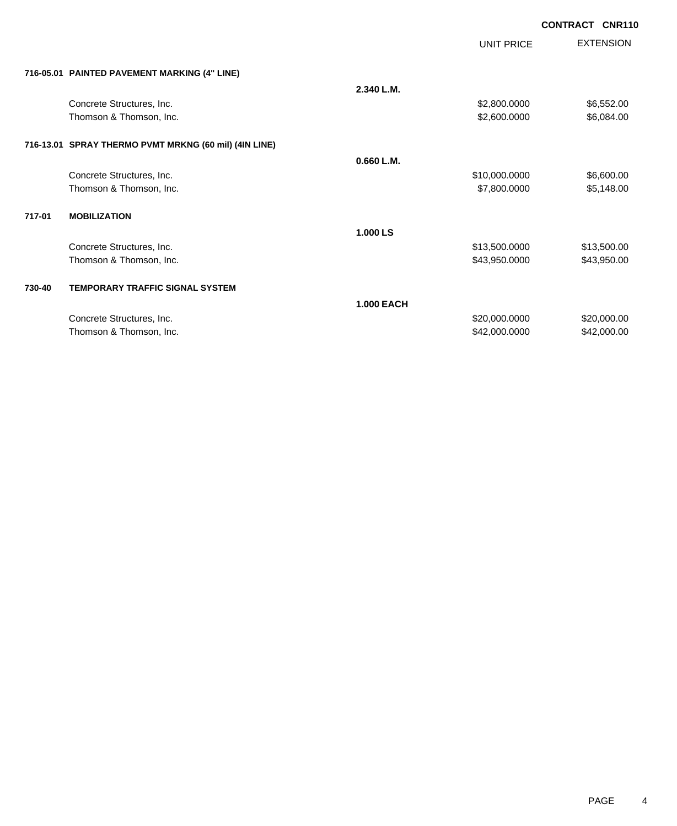| <b>CONTRACT CNR110</b> |  |
|------------------------|--|
|                        |  |

|        |                                                       |                   | <b>UNIT PRICE</b> | <b>EXTENSION</b> |  |
|--------|-------------------------------------------------------|-------------------|-------------------|------------------|--|
|        | 716-05.01 PAINTED PAVEMENT MARKING (4" LINE)          |                   |                   |                  |  |
|        |                                                       | 2.340 L.M.        |                   |                  |  |
|        | Concrete Structures, Inc.                             |                   | \$2,800.0000      | \$6,552.00       |  |
|        | Thomson & Thomson, Inc.                               |                   | \$2,600.0000      | \$6,084.00       |  |
|        | 716-13.01 SPRAY THERMO PVMT MRKNG (60 mil) (4IN LINE) |                   |                   |                  |  |
|        |                                                       | 0.660 L.M.        |                   |                  |  |
|        | Concrete Structures, Inc.                             |                   | \$10,000.0000     | \$6,600.00       |  |
|        | Thomson & Thomson, Inc.                               |                   | \$7,800.0000      | \$5,148.00       |  |
| 717-01 | <b>MOBILIZATION</b>                                   |                   |                   |                  |  |
|        |                                                       | 1.000 LS          |                   |                  |  |
|        | Concrete Structures, Inc.                             |                   | \$13,500.0000     | \$13,500.00      |  |
|        | Thomson & Thomson, Inc.                               |                   | \$43,950.0000     | \$43,950.00      |  |
| 730-40 | <b>TEMPORARY TRAFFIC SIGNAL SYSTEM</b>                |                   |                   |                  |  |
|        |                                                       | <b>1.000 EACH</b> |                   |                  |  |
|        | Concrete Structures, Inc.                             |                   | \$20,000.0000     | \$20,000.00      |  |
|        | Thomson & Thomson, Inc.                               |                   | \$42,000.0000     | \$42,000.00      |  |
|        |                                                       |                   |                   |                  |  |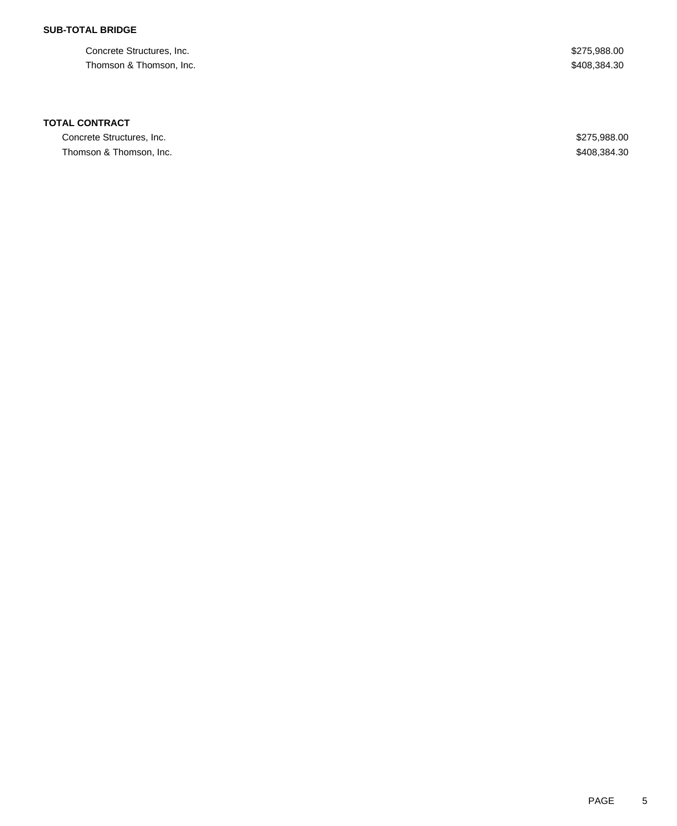Concrete Structures, Inc.  $$275,988.00$ Thomson & Thomson, Inc. 6. Thomson, Inc. 6. The Thomson & Thomson, Inc. 6. The Thomson & Thomson, Inc. 6. The Thomson  $\frac{1}{2}$ 

### **TOTAL CONTRACT**

Concrete Structures, Inc.  $$275,988.00$ Thomson & Thomson, Inc. 6. Thomson, Inc. 6. The state of the state of the state of the state of the state of the state of the state of the state of the state of the state of the state of the state of the state of the state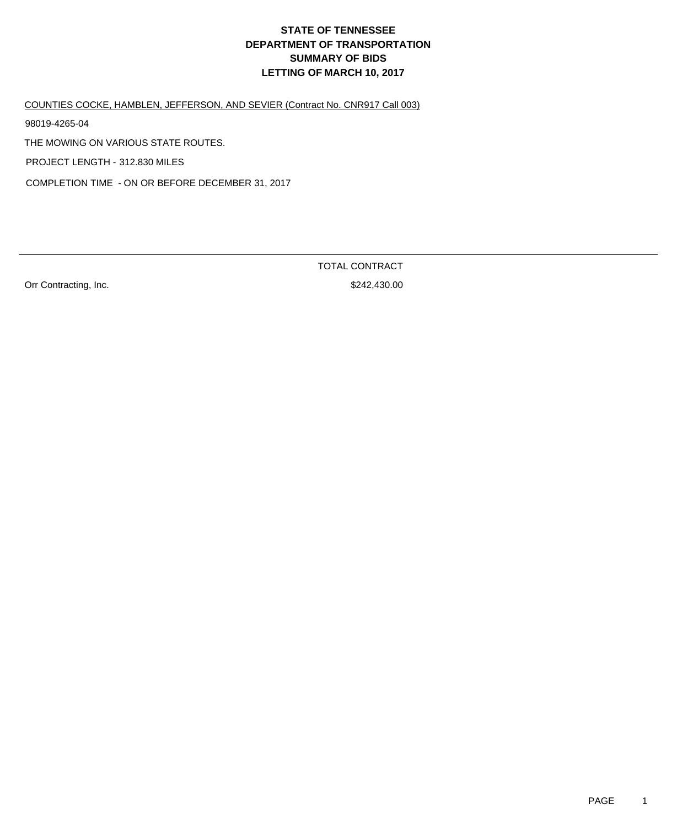# **DEPARTMENT OF TRANSPORTATION SUMMARY OF BIDS LETTING OF MARCH 10, 2017 STATE OF TENNESSEE**

COUNTIES COCKE, HAMBLEN, JEFFERSON, AND SEVIER (Contract No. CNR917 Call 003)

98019-4265-04

THE MOWING ON VARIOUS STATE ROUTES.

PROJECT LENGTH - 312.830 MILES

COMPLETION TIME - ON OR BEFORE DECEMBER 31, 2017

Orr Contracting, Inc.  $$242,430.00$ 

TOTAL CONTRACT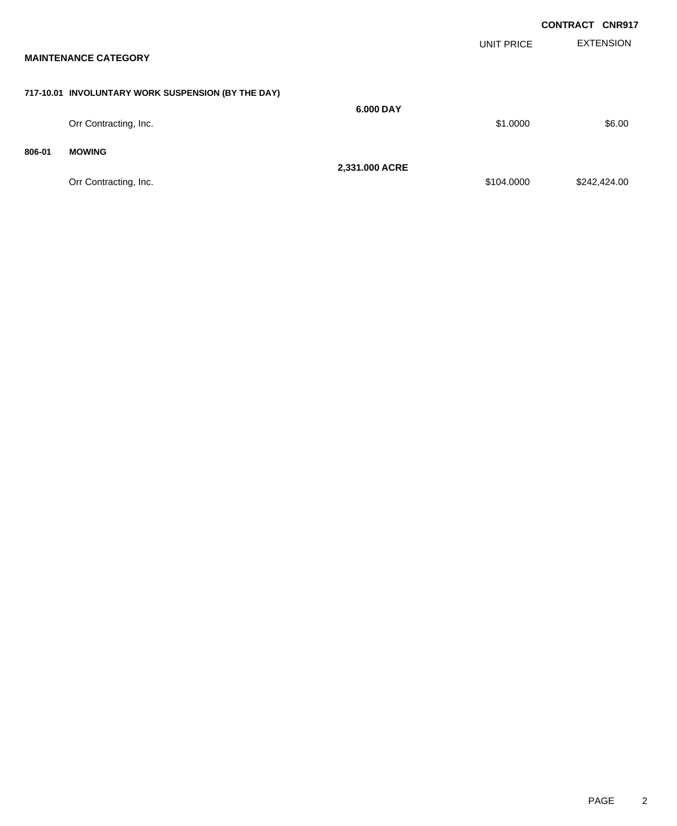|        |                                                    |                |                   | <b>CONTRACT CNR917</b> |
|--------|----------------------------------------------------|----------------|-------------------|------------------------|
|        | <b>MAINTENANCE CATEGORY</b>                        |                | <b>UNIT PRICE</b> | <b>EXTENSION</b>       |
|        | 717-10.01 INVOLUNTARY WORK SUSPENSION (BY THE DAY) |                |                   |                        |
|        | Orr Contracting, Inc.                              | 6.000 DAY      | \$1.0000          | \$6.00                 |
| 806-01 | <b>MOWING</b>                                      |                |                   |                        |
|        | Orr Contracting, Inc.                              | 2,331.000 ACRE | \$104.0000        | \$242,424.00           |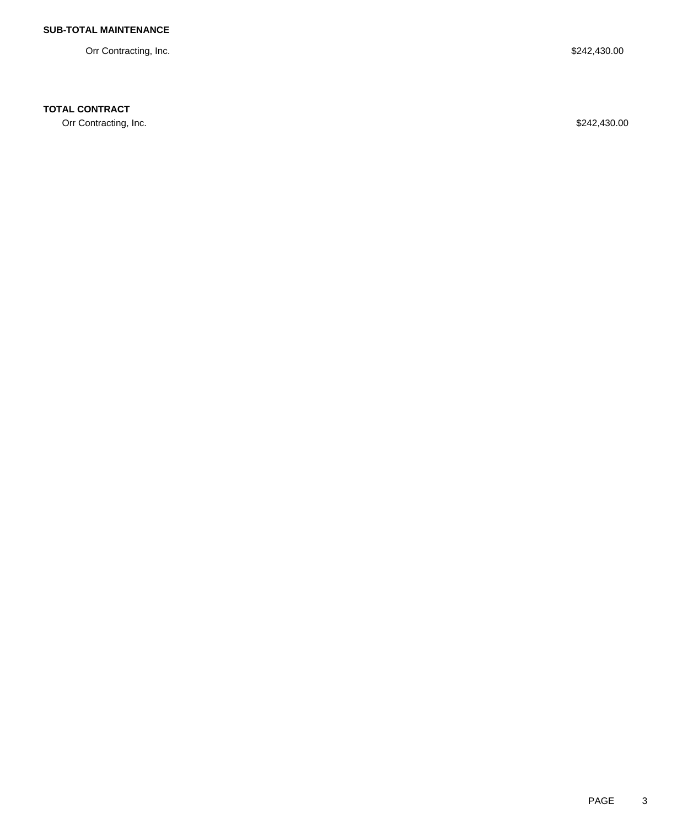Orr Contracting, Inc. \$242,430.00

## **TOTAL CONTRACT**

Orr Contracting, Inc. \$242,430.00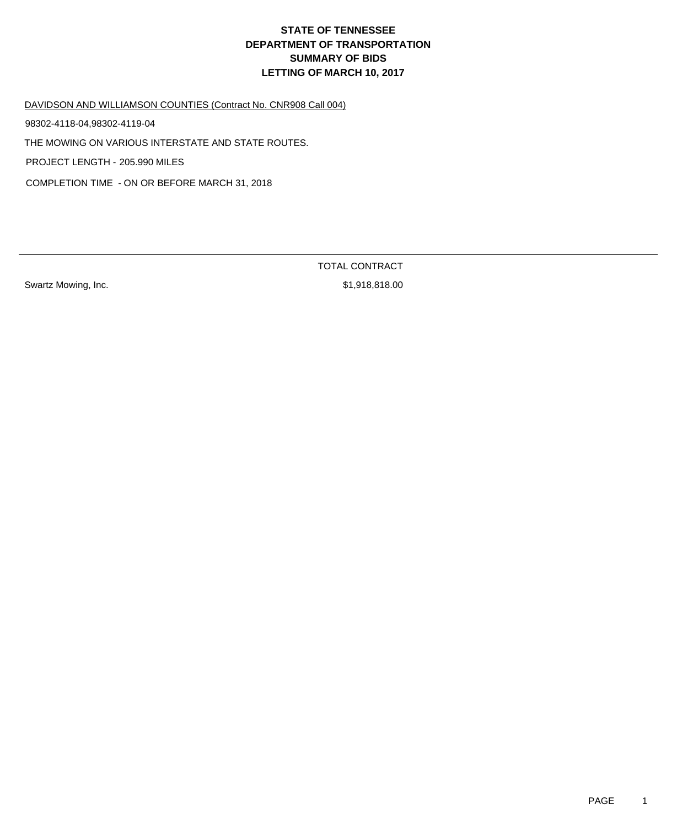# **DEPARTMENT OF TRANSPORTATION SUMMARY OF BIDS LETTING OF MARCH 10, 2017 STATE OF TENNESSEE**

DAVIDSON AND WILLIAMSON COUNTIES (Contract No. CNR908 Call 004)

98302-4118-04,98302-4119-04

THE MOWING ON VARIOUS INTERSTATE AND STATE ROUTES.

PROJECT LENGTH - 205.990 MILES

COMPLETION TIME - ON OR BEFORE MARCH 31, 2018

Swartz Mowing, Inc. 6. 2010 12:30 12:30 12:30 12:30 12:31 12:32 13:32 14:32 15:32 15:32 15:32 15:32 15:32 15:3

TOTAL CONTRACT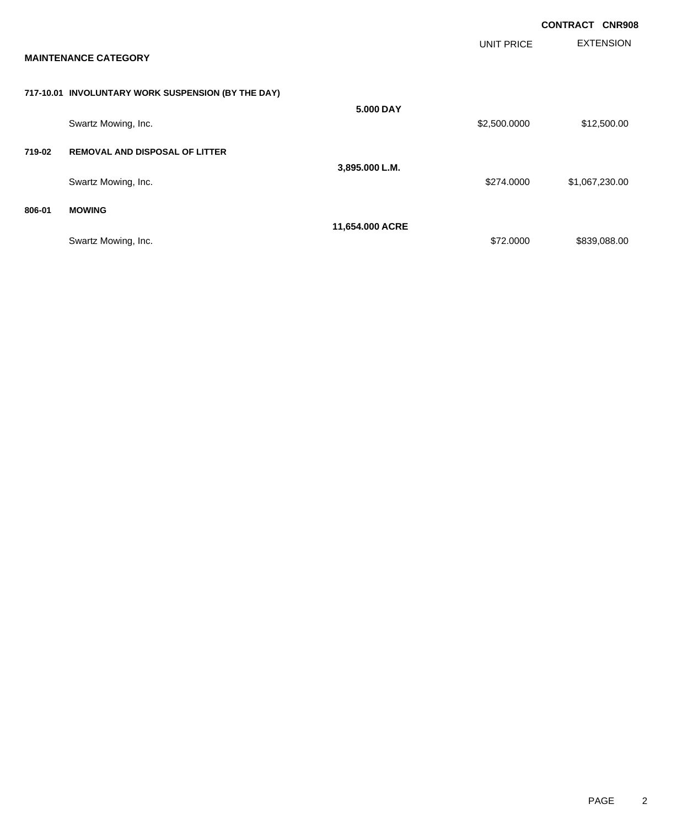|        |                                                    |                 |                   | <b>CONTRACT</b><br><b>CNR908</b> |  |
|--------|----------------------------------------------------|-----------------|-------------------|----------------------------------|--|
|        | <b>MAINTENANCE CATEGORY</b>                        |                 | <b>UNIT PRICE</b> | <b>EXTENSION</b>                 |  |
|        | 717-10.01 INVOLUNTARY WORK SUSPENSION (BY THE DAY) |                 |                   |                                  |  |
|        | Swartz Mowing, Inc.                                | 5.000 DAY       | \$2,500.0000      | \$12,500.00                      |  |
| 719-02 | <b>REMOVAL AND DISPOSAL OF LITTER</b>              |                 |                   |                                  |  |
|        | Swartz Mowing, Inc.                                | 3,895.000 L.M.  | \$274.0000        | \$1,067,230.00                   |  |
| 806-01 | <b>MOWING</b>                                      |                 |                   |                                  |  |
|        | Swartz Mowing, Inc.                                | 11,654.000 ACRE | \$72.0000         | \$839,088.00                     |  |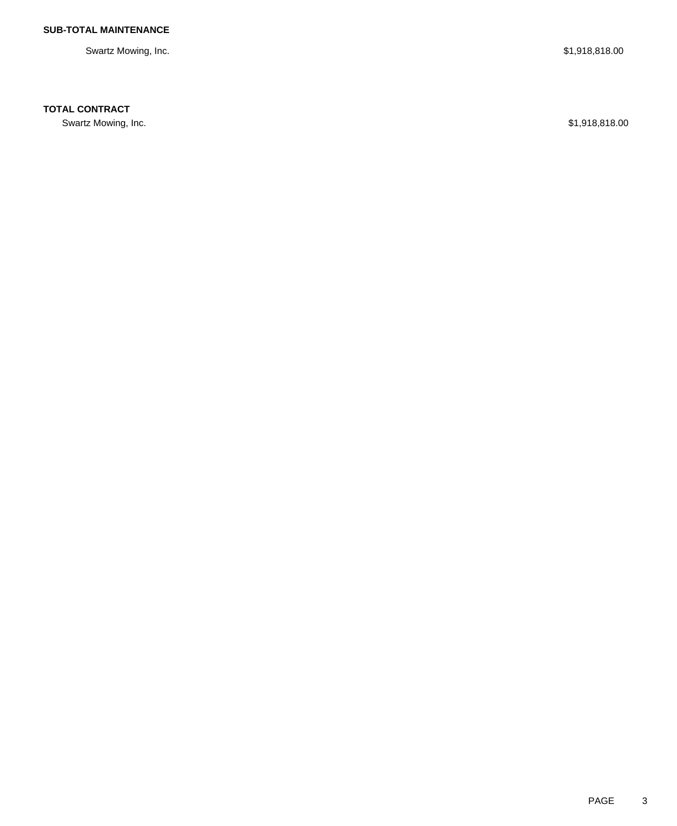Swartz Mowing, Inc. \$1,918,818.00

## **TOTAL CONTRACT**

Swartz Mowing, Inc. \$1,918,818.00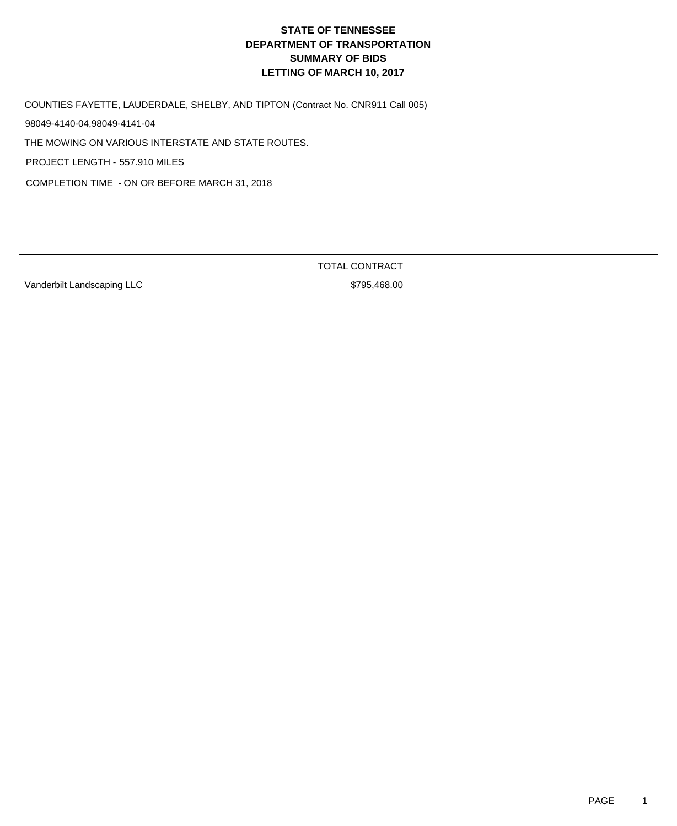# **DEPARTMENT OF TRANSPORTATION SUMMARY OF BIDS LETTING OF MARCH 10, 2017 STATE OF TENNESSEE**

COUNTIES FAYETTE, LAUDERDALE, SHELBY, AND TIPTON (Contract No. CNR911 Call 005)

98049-4140-04,98049-4141-04

THE MOWING ON VARIOUS INTERSTATE AND STATE ROUTES.

PROJECT LENGTH - 557.910 MILES

COMPLETION TIME - ON OR BEFORE MARCH 31, 2018

Vanderbilt Landscaping LLC  $$795,468.00$ 

TOTAL CONTRACT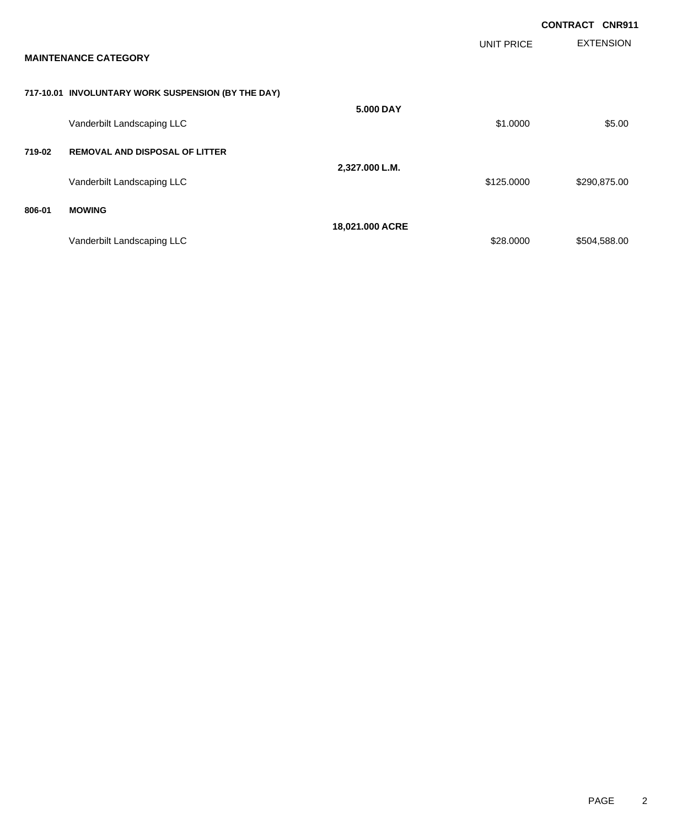|                             |                                                    |                 |                   | <b>CONTRACT CNR911</b> |                  |
|-----------------------------|----------------------------------------------------|-----------------|-------------------|------------------------|------------------|
| <b>MAINTENANCE CATEGORY</b> |                                                    |                 | <b>UNIT PRICE</b> |                        | <b>EXTENSION</b> |
|                             | 717-10.01 INVOLUNTARY WORK SUSPENSION (BY THE DAY) |                 |                   |                        |                  |
|                             | Vanderbilt Landscaping LLC                         | 5.000 DAY       | \$1.0000          |                        | \$5.00           |
| 719-02                      | <b>REMOVAL AND DISPOSAL OF LITTER</b>              |                 |                   |                        |                  |
|                             | Vanderbilt Landscaping LLC                         | 2,327.000 L.M.  | \$125.0000        |                        | \$290,875.00     |
| 806-01                      | <b>MOWING</b>                                      |                 |                   |                        |                  |
|                             | Vanderbilt Landscaping LLC                         | 18,021.000 ACRE | \$28.0000         |                        | \$504,588.00     |